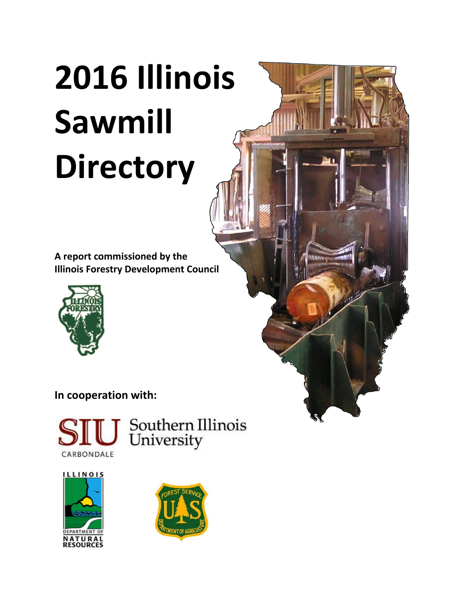**A report commissioned by the Illinois Forestry Development Council**



# **In cooperation with:**



Southern Illinois<br>University

 $\mathbf{S}$ 



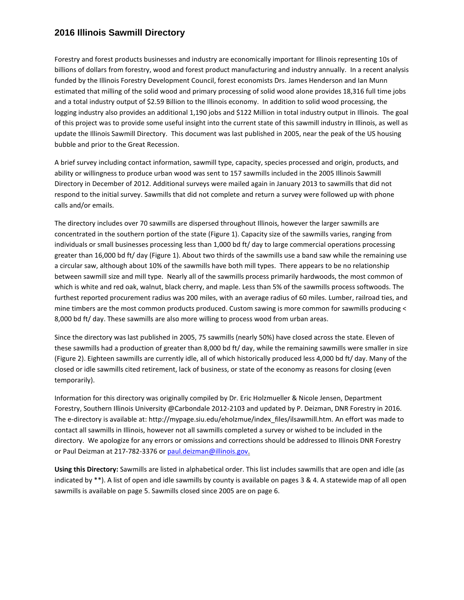Forestry and forest products businesses and industry are economically important for Illinois representing 10s of billions of dollars from forestry, wood and forest product manufacturing and industry annually. In a recent analysis funded by the Illinois Forestry Development Council, forest economists Drs. James Henderson and Ian Munn estimated that milling of the solid wood and primary processing of solid wood alone provides 18,316 full time jobs and a total industry output of \$2.59 Billion to the Illinois economy. In addition to solid wood processing, the logging industry also provides an additional 1,190 jobs and \$122 Million in total industry output in Illinois. The goal of this project was to provide some useful insight into the current state of this sawmill industry in Illinois, as well as update the Illinois Sawmill Directory. This document was last published in 2005, near the peak of the US housing bubble and prior to the Great Recession.

A brief survey including contact information, sawmill type, capacity, species processed and origin, products, and ability or willingness to produce urban wood was sent to 157 sawmills included in the 2005 Illinois Sawmill Directory in December of 2012. Additional surveys were mailed again in January 2013 to sawmills that did not respond to the initial survey. Sawmills that did not complete and return a survey were followed up with phone calls and/or emails.

The directory includes over 70 sawmills are dispersed throughout Illinois, however the larger sawmills are concentrated in the southern portion of the state (Figure 1). Capacity size of the sawmills varies, ranging from individuals or small businesses processing less than 1,000 bd ft/ day to large commercial operations processing greater than 16,000 bd ft/ day (Figure 1). About two thirds of the sawmills use a band saw while the remaining use a circular saw, although about 10% of the sawmills have both mill types. There appears to be no relationship between sawmill size and mill type. Nearly all of the sawmills process primarily hardwoods, the most common of which is white and red oak, walnut, black cherry, and maple. Less than 5% of the sawmills process softwoods. The furthest reported procurement radius was 200 miles, with an average radius of 60 miles. Lumber, railroad ties, and mine timbers are the most common products produced. Custom sawing is more common for sawmills producing < 8,000 bd ft/ day. These sawmills are also more willing to process wood from urban areas.

Since the directory was last published in 2005, 75 sawmills (nearly 50%) have closed across the state. Eleven of these sawmills had a production of greater than 8,000 bd ft/ day, while the remaining sawmills were smaller in size (Figure 2). Eighteen sawmills are currently idle, all of which historically produced less 4,000 bd ft/ day. Many of the closed or idle sawmills cited retirement, lack of business, or state of the economy as reasons for closing (even temporarily).

Information for this directory was originally compiled by Dr. Eric Holzmueller & Nicole Jensen, Department Forestry, Southern Illinois University @Carbondale 2012-2103 and updated by P. Deizman, DNR Forestry in 2016. The e-directory is available at: http://mypage.siu.edu/eholzmue/index\_files/ilsawmill.htm. An effort was made to contact all sawmills in Illinois, however not all sawmills completed a survey or wished to be included in the directory. We apologize for any errors or omissions and corrections should be addressed to Illinois DNR Forestry or Paul Deizman at 217-782-3376 or [paul.deizman@illinois.gov.](mailto:paul.deizman@illinois.gov)

**Using this Directory:** Sawmills are listed in alphabetical order. This list includes sawmills that are open and idle (as indicated by \*\*). A list of open and idle sawmills by county is available on pages 3 & 4. A statewide map of all open sawmills is available on page 5. Sawmills closed since 2005 are on page 6.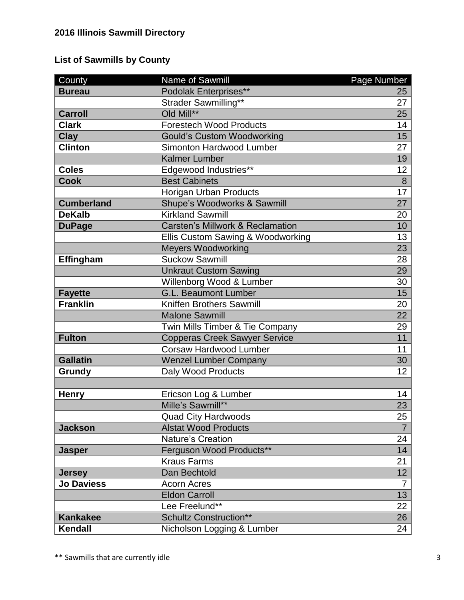# **List of Sawmills by County**

| County            | Name of Sawmill                      | Page Number     |
|-------------------|--------------------------------------|-----------------|
| <b>Bureau</b>     | Podolak Enterprises**                | 25              |
|                   | Strader Sawmilling**                 | 27              |
| <b>Carroll</b>    | Old Mill**                           | 25              |
| <b>Clark</b>      | <b>Forestech Wood Products</b>       | 14              |
| <b>Clay</b>       | <b>Gould's Custom Woodworking</b>    | 15              |
| <b>Clinton</b>    | Simonton Hardwood Lumber             | 27              |
|                   | <b>Kalmer Lumber</b>                 | 19              |
| <b>Coles</b>      | Edgewood Industries**                | 12              |
| <b>Cook</b>       | <b>Best Cabinets</b>                 | $\overline{8}$  |
|                   | Horigan Urban Products               | $\overline{17}$ |
| <b>Cumberland</b> | Shupe's Woodworks & Sawmill          | 27              |
| <b>DeKalb</b>     | <b>Kirkland Sawmill</b>              | 20              |
| <b>DuPage</b>     | Carsten's Millwork & Reclamation     | 10              |
|                   | Ellis Custom Sawing & Woodworking    | 13              |
|                   | <b>Meyers Woodworking</b>            | 23              |
| Effingham         | <b>Suckow Sawmill</b>                | 28              |
|                   | <b>Unkraut Custom Sawing</b>         | 29              |
|                   | Willenborg Wood & Lumber             | 30              |
| <b>Fayette</b>    | <b>G.L. Beaumont Lumber</b>          | 15              |
| <b>Franklin</b>   | Kniffen Brothers Sawmill             | 20              |
|                   | <b>Malone Sawmill</b>                | 22              |
|                   | Twin Mills Timber & Tie Company      | 29              |
| <b>Fulton</b>     | <b>Copperas Creek Sawyer Service</b> | $\overline{11}$ |
|                   | Corsaw Hardwood Lumber               | 11              |
| <b>Gallatin</b>   | <b>Wenzel Lumber Company</b>         | 30              |
| Grundy            | Daly Wood Products                   |                 |
|                   |                                      |                 |
| <b>Henry</b>      | Ericson Log & Lumber                 | 14              |
|                   | Mille's Sawmill**                    | 23              |
|                   | <b>Quad City Hardwoods</b>           | 25              |
| <b>Jackson</b>    | <b>Alstat Wood Products</b>          | $\overline{7}$  |
|                   | Nature's Creation                    | 24              |
| <b>Jasper</b>     | Ferguson Wood Products**             | 14              |
|                   | <b>Kraus Farms</b>                   | 21              |
| <b>Jersey</b>     | Dan Bechtold                         | 12              |
| <b>Jo Daviess</b> | <b>Acorn Acres</b>                   | $\overline{7}$  |
|                   | <b>Eldon Carroll</b>                 | 13              |
|                   | Lee Freelund**                       | 22              |
| <b>Kankakee</b>   | <b>Schultz Construction**</b>        | 26              |
| Kendall           | Nicholson Logging & Lumber           | 24              |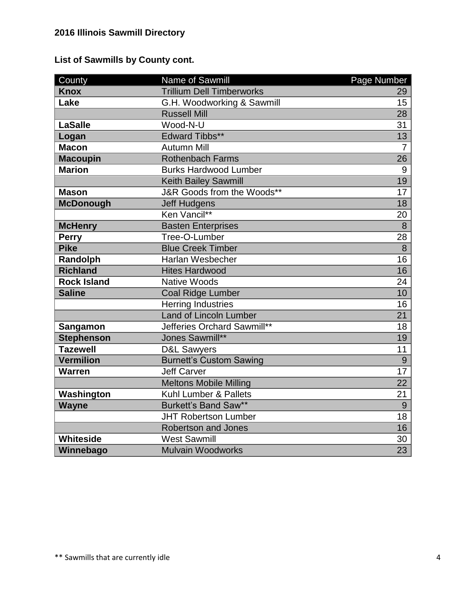|  |  | <b>List of Sawmills by County cont.</b> |  |  |  |
|--|--|-----------------------------------------|--|--|--|
|--|--|-----------------------------------------|--|--|--|

| County             | Name of Sawmill                  | Page Number     |
|--------------------|----------------------------------|-----------------|
| <b>Knox</b>        | <b>Trillium Dell Timberworks</b> | 29              |
| Lake               | G.H. Woodworking & Sawmill       | 15              |
|                    | <b>Russell Mill</b>              | 28              |
| <b>LaSalle</b>     | Wood-N-U                         | 31              |
| Logan              | <b>Edward Tibbs**</b>            | 13              |
| <b>Macon</b>       | <b>Autumn Mill</b>               | $\overline{7}$  |
| <b>Macoupin</b>    | <b>Rothenbach Farms</b>          | 26              |
| <b>Marion</b>      | <b>Burks Hardwood Lumber</b>     | 9               |
|                    | <b>Keith Bailey Sawmill</b>      | 19              |
| <b>Mason</b>       | J&R Goods from the Woods**       | 17              |
| <b>McDonough</b>   | <b>Jeff Hudgens</b>              | 18              |
|                    | Ken Vancil**                     | 20              |
| <b>McHenry</b>     | <b>Basten Enterprises</b>        | $\overline{8}$  |
| <b>Perry</b>       | Tree-O-Lumber                    | 28              |
| <b>Pike</b>        | <b>Blue Creek Timber</b>         | 8               |
| Randolph           | <b>Harlan Wesbecher</b>          | 16              |
| <b>Richland</b>    | <b>Hites Hardwood</b>            | 16              |
| <b>Rock Island</b> | <b>Native Woods</b>              | 24              |
| <b>Saline</b>      | <b>Coal Ridge Lumber</b>         | 10              |
|                    | <b>Herring Industries</b>        | 16              |
|                    | <b>Land of Lincoln Lumber</b>    | 21              |
| Sangamon           | Jefferies Orchard Sawmill**      | 18              |
| <b>Stephenson</b>  | Jones Sawmill**                  | $\overline{19}$ |
| <b>Tazewell</b>    | <b>D&amp;L Sawyers</b>           | 11              |
| <b>Vermilion</b>   | <b>Burnett's Custom Sawing</b>   | 9               |
| <b>Warren</b>      | <b>Jeff Carver</b>               | 17              |
|                    | <b>Meltons Mobile Milling</b>    | 22              |
| Washington         | Kuhl Lumber & Pallets            | 21              |
| <b>Wayne</b>       | Burkett's Band Saw**             | 9               |
|                    | <b>JHT Robertson Lumber</b>      | 18              |
|                    | <b>Robertson and Jones</b>       | 16              |
| <b>Whiteside</b>   | <b>West Sawmill</b>              | 30              |
| Winnebago          | <b>Mulvain Woodworks</b>         | 23              |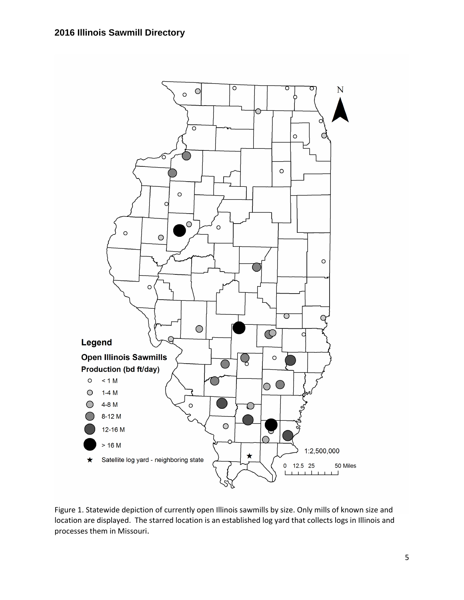

Figure 1. Statewide depiction of currently open Illinois sawmills by size. Only mills of known size and location are displayed. The starred location is an established log yard that collects logs in Illinois and processes them in Missouri.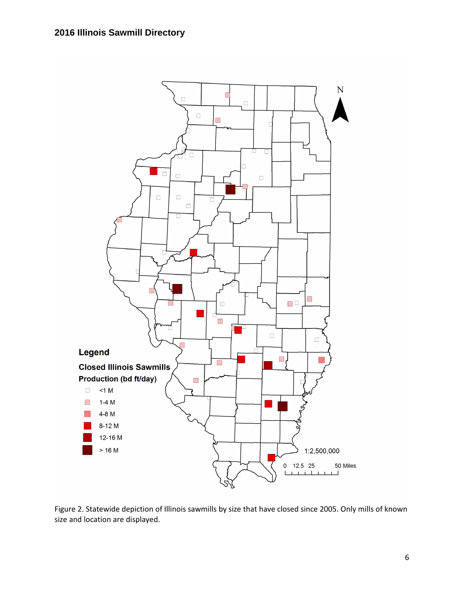

Figure 2. Statewide depiction of Illinois sawmills by size that have closed since 2005. Only mills of known size and location are displayed.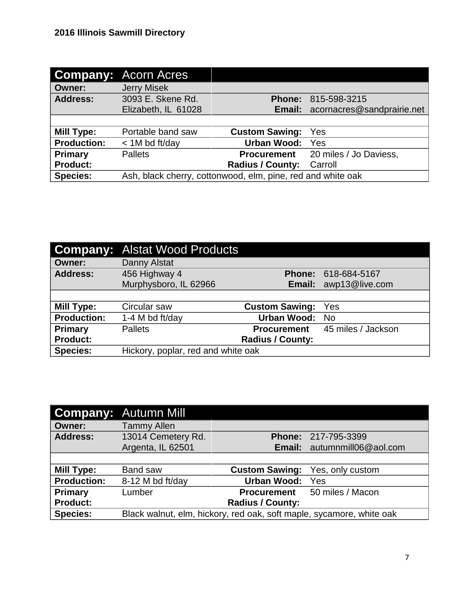|                    | <b>Company: Acorn Acres</b>                                 |                         |                                          |
|--------------------|-------------------------------------------------------------|-------------------------|------------------------------------------|
| <b>Owner:</b>      | <b>Jerry Misek</b>                                          |                         |                                          |
| <b>Address:</b>    | 3093 E. Skene Rd.                                           | <b>Phone:</b>           | 815-598-3215                             |
|                    | Elizabeth, IL 61028                                         |                         | <b>Email:</b> acornacres@sandprairie.net |
|                    |                                                             |                         |                                          |
| <b>Mill Type:</b>  | Portable band saw                                           | <b>Custom Sawing:</b>   | Yes                                      |
| <b>Production:</b> | $<$ 1M bd ft/day                                            | <b>Urban Wood:</b>      | Yes                                      |
| Primary            | <b>Pallets</b>                                              | <b>Procurement</b>      | 20 miles / Jo Daviess,                   |
| <b>Product:</b>    |                                                             | <b>Radius / County:</b> | Carroll                                  |
| <b>Species:</b>    | Ash, black cherry, cottonwood, elm, pine, red and white oak |                         |                                          |

|                    | <b>Company: Alstat Wood Products</b> |                         |                                       |
|--------------------|--------------------------------------|-------------------------|---------------------------------------|
| <b>Owner:</b>      | Danny Alstat                         |                         |                                       |
| <b>Address:</b>    | 456 Highway 4                        |                         | Phone: 618-684-5167                   |
|                    | Murphysboro, IL 62966                |                         | Email: awp13@live.com                 |
|                    |                                      |                         |                                       |
| <b>Mill Type:</b>  | Circular saw                         | <b>Custom Sawing:</b>   | Yes                                   |
| <b>Production:</b> | 1-4 M bd ft/day                      | Urban Wood: No          |                                       |
| Primary            | <b>Pallets</b>                       |                         | <b>Procurement</b> 45 miles / Jackson |
| <b>Product:</b>    |                                      | <b>Radius / County:</b> |                                       |
| <b>Species:</b>    | Hickory, poplar, red and white oak   |                         |                                       |

|                    | <b>Company: Autumn Mill</b>                                          |                         |                             |
|--------------------|----------------------------------------------------------------------|-------------------------|-----------------------------|
| <b>Owner:</b>      | <b>Tammy Allen</b>                                                   |                         |                             |
| <b>Address:</b>    | 13014 Cemetery Rd.                                                   |                         | Phone: 217-795-3399         |
|                    | Argenta, IL 62501                                                    |                         | Email: autumnmill06@aol.com |
|                    |                                                                      |                         |                             |
| Mill Type:         | <b>Band saw</b>                                                      | <b>Custom Sawing:</b>   | Yes, only custom            |
| <b>Production:</b> | 8-12 M bd ft/day                                                     | Urban Wood:             | Yes                         |
| <b>Primary</b>     | Lumber                                                               | <b>Procurement</b>      | 50 miles / Macon            |
| <b>Product:</b>    |                                                                      | <b>Radius / County:</b> |                             |
| <b>Species:</b>    | Black walnut, elm, hickory, red oak, soft maple, sycamore, white oak |                         |                             |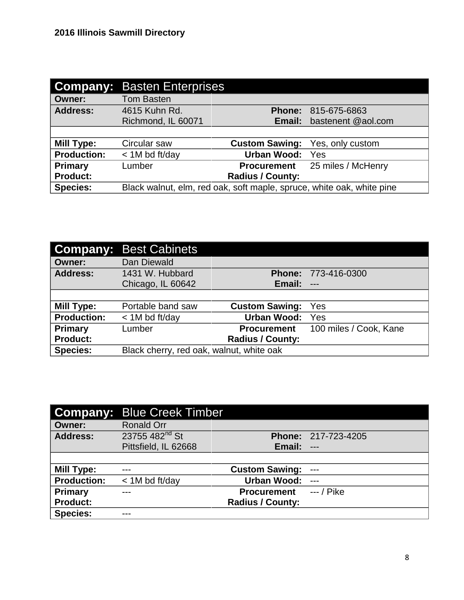| Company:           | <b>Basten Enterprises</b>                                             |                         |                    |
|--------------------|-----------------------------------------------------------------------|-------------------------|--------------------|
| <b>Owner:</b>      | <b>Tom Basten</b>                                                     |                         |                    |
| <b>Address:</b>    | 4615 Kuhn Rd.                                                         | <b>Phone:</b>           | 815-675-6863       |
|                    | Richmond, IL 60071                                                    | Email:                  | bastenent @aol.com |
|                    |                                                                       |                         |                    |
| Mill Type:         | Circular saw                                                          | <b>Custom Sawing:</b>   | Yes, only custom   |
| <b>Production:</b> | $<$ 1M bd ft/day                                                      | <b>Urban Wood:</b>      | Yes                |
| Primary            | Lumber                                                                | <b>Procurement</b>      | 25 miles / McHenry |
| <b>Product:</b>    |                                                                       | <b>Radius / County:</b> |                    |
| <b>Species:</b>    | Black walnut, elm, red oak, soft maple, spruce, white oak, white pine |                         |                    |

|                    | <b>Company: Best Cabinets</b>            |                         |                        |
|--------------------|------------------------------------------|-------------------------|------------------------|
| <b>Owner:</b>      | Dan Diewald                              |                         |                        |
| <b>Address:</b>    | 1431 W. Hubbard                          | <b>Phone:</b>           | 773-416-0300           |
|                    | Chicago, IL 60642                        | Email:                  | $---$                  |
|                    |                                          |                         |                        |
| Mill Type:         | Portable band saw                        | <b>Custom Sawing:</b>   | Yes                    |
| <b>Production:</b> | $<$ 1M bd ft/day                         | <b>Urban Wood:</b>      | Yes                    |
| <b>Primary</b>     | Lumber                                   | <b>Procurement</b>      | 100 miles / Cook, Kane |
| <b>Product:</b>    |                                          | <b>Radius / County:</b> |                        |
| <b>Species:</b>    | Black cherry, red oak, walnut, white oak |                         |                        |

|                    | <b>Company: Blue Creek Timber</b> |                         |                            |
|--------------------|-----------------------------------|-------------------------|----------------------------|
| <b>Owner:</b>      | <b>Ronald Orr</b>                 |                         |                            |
| <b>Address:</b>    | 23755 482 <sup>nd</sup> St        |                         | <b>Phone: 217-723-4205</b> |
|                    | Pittsfield, IL 62668              | Email:                  | $---$                      |
|                    |                                   |                         |                            |
| Mill Type:         |                                   | <b>Custom Sawing:</b>   | $\qquad \qquad -$          |
| <b>Production:</b> | $<$ 1M bd ft/day                  | <b>Urban Wood:</b>      | $---$                      |
| <b>Primary</b>     |                                   | <b>Procurement</b>      | $--/$ Pike                 |
| <b>Product:</b>    |                                   | <b>Radius / County:</b> |                            |
| <b>Species:</b>    |                                   |                         |                            |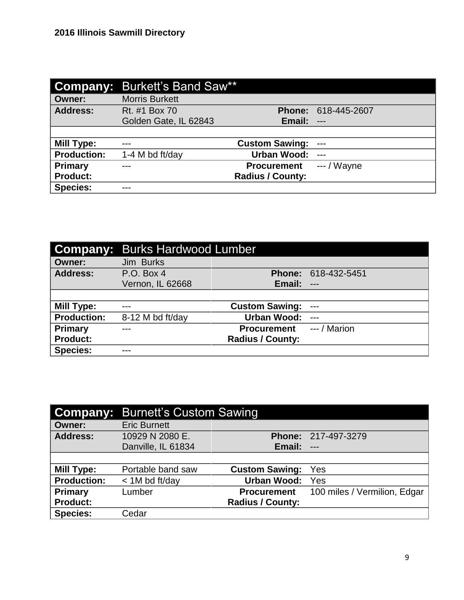|                    | <b>Company: Burkett's Band Saw**</b> |                         |                            |
|--------------------|--------------------------------------|-------------------------|----------------------------|
| Owner:             | <b>Morris Burkett</b>                |                         |                            |
| <b>Address:</b>    | Rt. #1 Box 70                        |                         | <b>Phone: 618-445-2607</b> |
|                    | Golden Gate, IL 62843                | Email:                  | $---$                      |
|                    |                                      |                         |                            |
| <b>Mill Type:</b>  |                                      | <b>Custom Sawing:</b>   | $---$                      |
| <b>Production:</b> | 1-4 M bd ft/day                      | Urban Wood:             | $---$                      |
| <b>Primary</b>     |                                      | <b>Procurement</b>      | $--$ / Wayne               |
| <b>Product:</b>    |                                      | <b>Radius / County:</b> |                            |
| <b>Species:</b>    |                                      |                         |                            |

|                    | <b>Company: Burks Hardwood Lumber</b> |                         |              |
|--------------------|---------------------------------------|-------------------------|--------------|
| <b>Owner:</b>      | Jim Burks                             |                         |              |
| <b>Address:</b>    | P.O. Box 4                            | <b>Phone:</b>           | 618-432-5451 |
|                    | Vernon, IL 62668                      | Email:                  | $---$        |
|                    |                                       |                         |              |
| <b>Mill Type:</b>  | ---                                   | <b>Custom Sawing:</b>   | $---$        |
| <b>Production:</b> | 8-12 M bd ft/day                      | <b>Urban Wood:</b>      | $---$        |
| <b>Primary</b>     |                                       | <b>Procurement</b>      | --- / Marion |
| <b>Product:</b>    |                                       | <b>Radius / County:</b> |              |
| <b>Species:</b>    | ---                                   |                         |              |

| <b>Company:</b>    | <b>Burnett's Custom Sawing</b> |                         |                              |
|--------------------|--------------------------------|-------------------------|------------------------------|
| <b>Owner:</b>      | <b>Eric Burnett</b>            |                         |                              |
| <b>Address:</b>    | 10929 N 2080 E.                |                         | <b>Phone: 217-497-3279</b>   |
|                    | Danville, IL 61834             | Email:                  | $\qquad \qquad -$            |
|                    |                                |                         |                              |
| <b>Mill Type:</b>  | Portable band saw              | <b>Custom Sawing:</b>   | Yes                          |
| <b>Production:</b> | $<$ 1M bd ft/day               | Urban Wood:             | Yes                          |
| <b>Primary</b>     | Lumber                         | <b>Procurement</b>      | 100 miles / Vermilion, Edgar |
| <b>Product:</b>    |                                | <b>Radius / County:</b> |                              |
| <b>Species:</b>    | Cedar                          |                         |                              |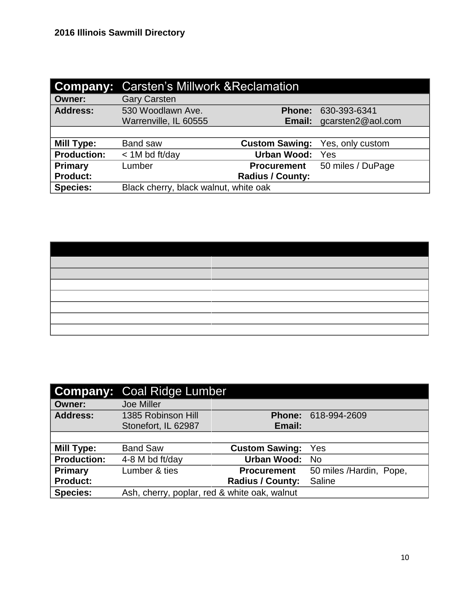| <b>Company:</b>    | <b>Carsten's Millwork &amp; Reclamation</b> |                         |                          |
|--------------------|---------------------------------------------|-------------------------|--------------------------|
| <b>Owner:</b>      | <b>Gary Carsten</b>                         |                         |                          |
| <b>Address:</b>    | 530 Woodlawn Ave.                           | <b>Phone:</b>           | 630-393-6341             |
|                    | Warrenville, IL 60555                       |                         | Email: gcarsten2@aol.com |
|                    |                                             |                         |                          |
| <b>Mill Type:</b>  | <b>Band saw</b>                             | <b>Custom Sawing:</b>   | Yes, only custom         |
| <b>Production:</b> | $<$ 1M bd ft/day                            | <b>Urban Wood:</b>      | Yes                      |
| Primary            | Lumber                                      | <b>Procurement</b>      | 50 miles / DuPage        |
| <b>Product:</b>    |                                             | <b>Radius / County:</b> |                          |
| <b>Species:</b>    | Black cherry, black walnut, white oak       |                         |                          |

|                    | <b>Company: Coal Ridge Lumber</b>            |                         |                         |
|--------------------|----------------------------------------------|-------------------------|-------------------------|
| <b>Owner:</b>      | <b>Joe Miller</b>                            |                         |                         |
| <b>Address:</b>    | 1385 Robinson Hill                           | <b>Phone:</b>           | 618-994-2609            |
|                    | Stonefort, IL 62987                          | Email:                  |                         |
|                    |                                              |                         |                         |
| Mill Type:         | <b>Band Saw</b>                              | <b>Custom Sawing:</b>   | Yes                     |
| <b>Production:</b> | 4-8 M bd ft/day                              | <b>Urban Wood:</b>      | <b>No</b>               |
| Primary            | Lumber & ties                                | <b>Procurement</b>      | 50 miles /Hardin, Pope, |
| <b>Product:</b>    |                                              | <b>Radius / County:</b> | Saline                  |
| <b>Species:</b>    | Ash, cherry, poplar, red & white oak, walnut |                         |                         |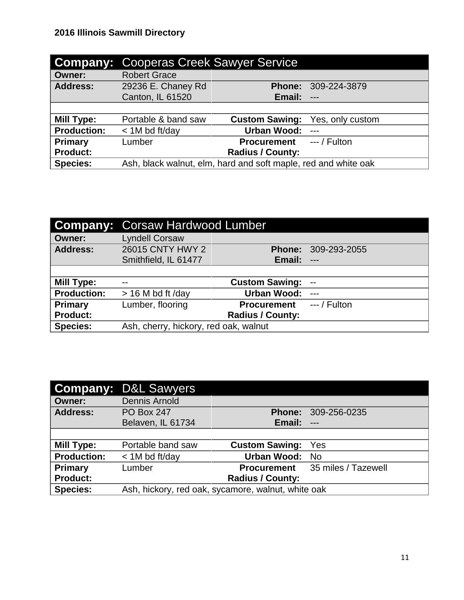| <b>Company:</b>    | <b>Cooperas Creek Sawyer Service</b>                           |                         |                  |  |
|--------------------|----------------------------------------------------------------|-------------------------|------------------|--|
| <b>Owner:</b>      | <b>Robert Grace</b>                                            |                         |                  |  |
| <b>Address:</b>    | 29236 E. Chaney Rd                                             | <b>Phone:</b>           | 309-224-3879     |  |
|                    | Canton, IL 61520                                               | Email:                  | $---$            |  |
|                    |                                                                |                         |                  |  |
| <b>Mill Type:</b>  | Portable & band saw                                            | <b>Custom Sawing:</b>   | Yes, only custom |  |
| <b>Production:</b> | $<$ 1M bd ft/day                                               | <b>Urban Wood:</b>      |                  |  |
| Primary            | Lumber                                                         | <b>Procurement</b>      | $--/$ Fulton     |  |
| <b>Product:</b>    |                                                                | <b>Radius / County:</b> |                  |  |
| <b>Species:</b>    | Ash, black walnut, elm, hard and soft maple, red and white oak |                         |                  |  |

| <b>Company:</b>    | <b>Corsaw Hardwood Lumber</b>         |                         |                          |
|--------------------|---------------------------------------|-------------------------|--------------------------|
| <b>Owner:</b>      | <b>Lyndell Corsaw</b>                 |                         |                          |
| <b>Address:</b>    | 26015 CNTY HWY 2                      | <b>Phone:</b>           | 309-293-2055             |
|                    | Smithfield, IL 61477                  | Email:                  | $---$                    |
|                    |                                       |                         |                          |
| Mill Type:         | $-$                                   | <b>Custom Sawing:</b>   | $\overline{\phantom{a}}$ |
| <b>Production:</b> | $> 16$ M bd ft /day                   | <b>Urban Wood:</b>      | $---$                    |
| <b>Primary</b>     | Lumber, flooring                      | <b>Procurement</b>      | $--/$ Fulton             |
| <b>Product:</b>    |                                       | <b>Radius / County:</b> |                          |
| <b>Species:</b>    | Ash, cherry, hickory, red oak, walnut |                         |                          |

|                    | <b>Company: D&amp;L Sawyers</b> |                                                    |                                 |
|--------------------|---------------------------------|----------------------------------------------------|---------------------------------|
| <b>Owner:</b>      | <b>Dennis Arnold</b>            |                                                    |                                 |
| <b>Address:</b>    | <b>PO Box 247</b>               | <b>Phone:</b>                                      | 309-256-0235                    |
|                    | Belaven, IL 61734               | Email:                                             | $---$                           |
|                    |                                 |                                                    |                                 |
| Mill Type:         | Portable band saw               | <b>Custom Sawing:</b>                              | Yes                             |
| <b>Production:</b> | < 1M bd ft/day                  | <b>Urban Wood:</b>                                 | - No                            |
| <b>Primary</b>     | Lumber                          |                                                    | Procurement 35 miles / Tazewell |
| <b>Product:</b>    |                                 | <b>Radius / County:</b>                            |                                 |
| <b>Species:</b>    |                                 | Ash, hickory, red oak, sycamore, walnut, white oak |                                 |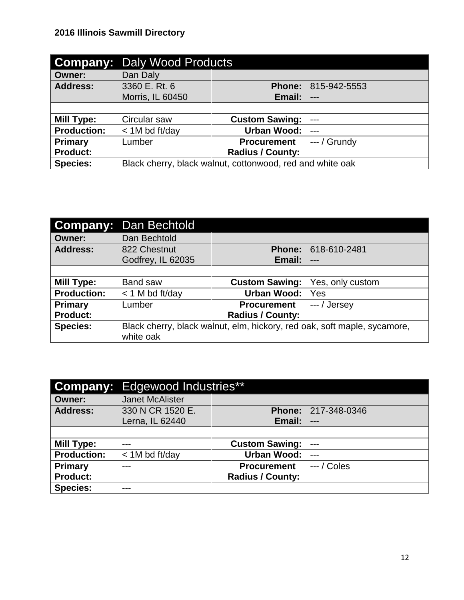|                    | <b>Company: Daly Wood Products</b>                        |                         |                |
|--------------------|-----------------------------------------------------------|-------------------------|----------------|
| Owner:             | Dan Daly                                                  |                         |                |
| <b>Address:</b>    | 3360 E. Rt. 6                                             | <b>Phone:</b>           | 815-942-5553   |
|                    | Morris, IL 60450                                          | Email:                  | $---$          |
|                    |                                                           |                         |                |
| <b>Mill Type:</b>  | Circular saw                                              | <b>Custom Sawing:</b>   | $---$          |
| <b>Production:</b> | $<$ 1M bd ft/day                                          | <b>Urban Wood:</b>      |                |
| <b>Primary</b>     | Lumber                                                    | <b>Procurement</b>      | $-$ - / Grundy |
| <b>Product:</b>    |                                                           | <b>Radius / County:</b> |                |
| <b>Species:</b>    | Black cherry, black walnut, cottonwood, red and white oak |                         |                |

| <b>Company:</b>    | Dan Bechtold      |                         |                                                                          |
|--------------------|-------------------|-------------------------|--------------------------------------------------------------------------|
| <b>Owner:</b>      | Dan Bechtold      |                         |                                                                          |
| <b>Address:</b>    | 822 Chestnut      | <b>Phone:</b>           | 618-610-2481                                                             |
|                    | Godfrey, IL 62035 | Email:                  | $---$                                                                    |
|                    |                   |                         |                                                                          |
| <b>Mill Type:</b>  | <b>Band saw</b>   | <b>Custom Sawing:</b>   | Yes, only custom                                                         |
| <b>Production:</b> | $<$ 1 M bd ft/day | <b>Urban Wood:</b>      | Yes                                                                      |
| Primary            | Lumber            | <b>Procurement</b>      | --- / Jersey                                                             |
| <b>Product:</b>    |                   | <b>Radius / County:</b> |                                                                          |
| <b>Species:</b>    |                   |                         | Black cherry, black walnut, elm, hickory, red oak, soft maple, sycamore, |
|                    | white oak         |                         |                                                                          |

|                    | <b>Company:</b> Edgewood Industries** |                         |                     |
|--------------------|---------------------------------------|-------------------------|---------------------|
| <b>Owner:</b>      | <b>Janet McAlister</b>                |                         |                     |
| <b>Address:</b>    | 330 N CR 1520 E.                      |                         | Phone: 217-348-0346 |
|                    | Lerna, IL 62440                       | Email:                  | $---$               |
|                    |                                       |                         |                     |
| Mill Type:         |                                       | <b>Custom Sawing:</b>   | $---$               |
| <b>Production:</b> | $<$ 1M bd ft/day                      | <b>Urban Wood:</b>      | $---$               |
| <b>Primary</b>     |                                       | <b>Procurement</b>      | $--/$ Coles         |
| <b>Product:</b>    |                                       | <b>Radius / County:</b> |                     |
| <b>Species:</b>    | ---                                   |                         |                     |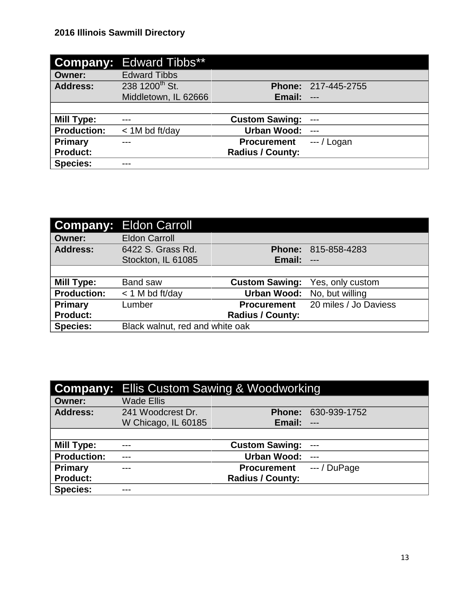|                    | <b>Company: Edward Tibbs**</b> |                         |                     |
|--------------------|--------------------------------|-------------------------|---------------------|
| Owner:             | <b>Edward Tibbs</b>            |                         |                     |
| <b>Address:</b>    | 238 1200 <sup>th</sup> St.     |                         | Phone: 217-445-2755 |
|                    | Middletown, IL 62666           | Email:                  | $---$               |
|                    |                                |                         |                     |
| <b>Mill Type:</b>  | $---$                          | <b>Custom Sawing:</b>   | $---$               |
| <b>Production:</b> | $<$ 1M bd ft/day               | <b>Urban Wood:</b>      | $---$               |
| <b>Primary</b>     |                                | <b>Procurement</b>      | $--/Logan$          |
| <b>Product:</b>    |                                | <b>Radius / County:</b> |                     |
| <b>Species:</b>    |                                |                         |                     |

|                    | <b>Company: Eldon Carroll</b>   |                         |                       |
|--------------------|---------------------------------|-------------------------|-----------------------|
| <b>Owner:</b>      | <b>Eldon Carroll</b>            |                         |                       |
| <b>Address:</b>    | 6422 S. Grass Rd.               | <b>Phone:</b>           | 815-858-4283          |
|                    | Stockton, IL 61085              | Email:                  | $---$                 |
|                    |                                 |                         |                       |
| Mill Type:         | <b>Band saw</b>                 | <b>Custom Sawing:</b>   | Yes, only custom      |
| <b>Production:</b> | $<$ 1 M bd ft/day               | <b>Urban Wood:</b>      | No, but willing       |
| Primary            | Lumber                          | <b>Procurement</b>      | 20 miles / Jo Daviess |
| <b>Product:</b>    |                                 | <b>Radius / County:</b> |                       |
| <b>Species:</b>    | Black walnut, red and white oak |                         |                       |

|                    | <b>Company:</b> Ellis Custom Sawing & Woodworking |                         |               |
|--------------------|---------------------------------------------------|-------------------------|---------------|
| <b>Owner:</b>      | Wade Ellis                                        |                         |               |
| <b>Address:</b>    | 241 Woodcrest Dr.                                 | <b>Phone:</b>           | 630-939-1752  |
|                    | W Chicago, IL 60185                               | Email:                  | $---$         |
|                    |                                                   |                         |               |
| <b>Mill Type:</b>  | $---$                                             | <b>Custom Sawing:</b>   | $---$         |
| <b>Production:</b> | ---                                               | <b>Urban Wood:</b>      | $---$         |
| Primary            | ---                                               | <b>Procurement</b>      | $---/$ DuPage |
| <b>Product:</b>    |                                                   | <b>Radius / County:</b> |               |
| <b>Species:</b>    |                                                   |                         |               |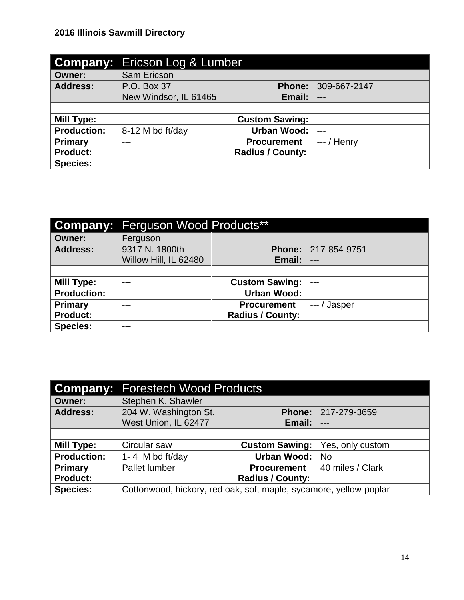|                    | <b>Company: Ericson Log &amp; Lumber</b> |                         |                            |
|--------------------|------------------------------------------|-------------------------|----------------------------|
| Owner:             | <b>Sam Ericson</b>                       |                         |                            |
| <b>Address:</b>    | P.O. Box 37                              |                         | <b>Phone: 309-667-2147</b> |
|                    | New Windsor, IL 61465                    | Email:                  | $---$                      |
|                    |                                          |                         |                            |
| <b>Mill Type:</b>  | ---                                      | <b>Custom Sawing:</b>   | ---                        |
| <b>Production:</b> | 8-12 M bd ft/day                         | <b>Urban Wood:</b>      |                            |
| <b>Primary</b>     |                                          | <b>Procurement</b>      | $-$ / Henry                |
| <b>Product:</b>    |                                          | <b>Radius / County:</b> |                            |
| <b>Species:</b>    |                                          |                         |                            |

|                    | <b>Company:</b> Ferguson Wood Products** |                         |                     |
|--------------------|------------------------------------------|-------------------------|---------------------|
| <b>Owner:</b>      | Ferguson                                 |                         |                     |
| <b>Address:</b>    | 9317 N. 1800th                           |                         | Phone: 217-854-9751 |
|                    | Willow Hill, IL 62480                    | Email:                  | $---$               |
|                    |                                          |                         |                     |
| Mill Type:         | ---                                      | <b>Custom Sawing:</b>   | $--$                |
| <b>Production:</b> | ---                                      | <b>Urban Wood:</b>      | $---$               |
| Primary            | ---                                      | <b>Procurement</b>      | $--/$ Jasper        |
| <b>Product:</b>    |                                          | <b>Radius / County:</b> |                     |
| <b>Species:</b>    | ---                                      |                         |                     |

|                    | <b>Company: Forestech Wood Products</b>                           |                         |                                     |
|--------------------|-------------------------------------------------------------------|-------------------------|-------------------------------------|
| <b>Owner:</b>      | Stephen K. Shawler                                                |                         |                                     |
| <b>Address:</b>    | 204 W. Washington St.                                             |                         | Phone: 217-279-3659                 |
|                    | West Union, IL 62477                                              | <b>Email: ---</b>       |                                     |
|                    |                                                                   |                         |                                     |
| <b>Mill Type:</b>  | Circular saw                                                      | <b>Custom Sawing:</b>   | Yes, only custom                    |
| <b>Production:</b> | 1-4 M bd ft/day                                                   | <b>Urban Wood:</b>      | No.                                 |
| <b>Primary</b>     | Pallet lumber                                                     |                         | <b>Procurement</b> 40 miles / Clark |
| <b>Product:</b>    |                                                                   | <b>Radius / County:</b> |                                     |
| <b>Species:</b>    | Cottonwood, hickory, red oak, soft maple, sycamore, yellow-poplar |                         |                                     |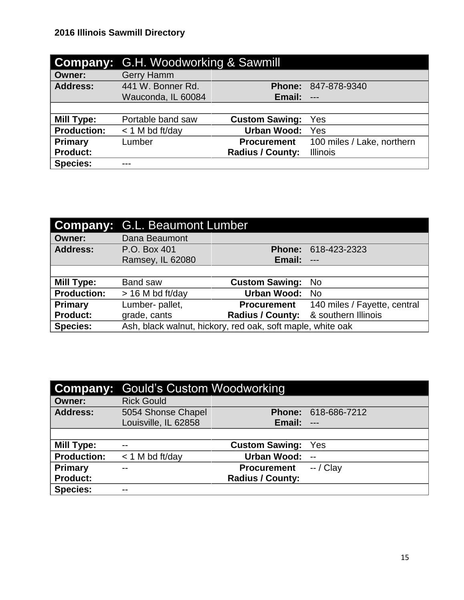|                    | <b>Company: G.H. Woodworking &amp; Sawmill</b> |                         |                            |
|--------------------|------------------------------------------------|-------------------------|----------------------------|
| <b>Owner:</b>      | <b>Gerry Hamm</b>                              |                         |                            |
| <b>Address:</b>    | 441 W. Bonner Rd.                              | <b>Phone:</b>           | 847-878-9340               |
|                    | Wauconda, IL 60084                             | Email:                  | $---$                      |
|                    |                                                |                         |                            |
| <b>Mill Type:</b>  | Portable band saw                              | <b>Custom Sawing:</b>   | Yes                        |
| <b>Production:</b> | $<$ 1 M bd ft/day                              | <b>Urban Wood:</b>      | Yes                        |
| Primary            | Lumber                                         | <b>Procurement</b>      | 100 miles / Lake, northern |
| <b>Product:</b>    |                                                | <b>Radius / County:</b> | <b>Illinois</b>            |
| <b>Species:</b>    | ---                                            |                         |                            |

|                    | <b>Company: G.L. Beaumont Lumber</b>                       |                                      |                              |
|--------------------|------------------------------------------------------------|--------------------------------------|------------------------------|
| <b>Owner:</b>      | Dana Beaumont                                              |                                      |                              |
| <b>Address:</b>    | P.O. Box 401                                               | <b>Phone:</b>                        | 618-423-2323                 |
|                    | Ramsey, IL 62080                                           | Email:                               | $---$                        |
|                    |                                                            |                                      |                              |
| <b>Mill Type:</b>  | Band saw                                                   | <b>Custom Sawing:</b>                | No.                          |
| <b>Production:</b> | > 16 M bd ft/day                                           | <b>Urban Wood:</b>                   | - No                         |
| Primary            | Lumber- pallet,                                            | <b>Procurement</b>                   | 140 miles / Fayette, central |
| <b>Product:</b>    | grade, cants                                               | Radius / County: & southern Illinois |                              |
| <b>Species:</b>    | Ash, black walnut, hickory, red oak, soft maple, white oak |                                      |                              |

| <b>Company:</b>    | <b>Gould's Custom Woodworking</b> |                         |                          |
|--------------------|-----------------------------------|-------------------------|--------------------------|
| <b>Owner:</b>      | <b>Rick Gould</b>                 |                         |                          |
| <b>Address:</b>    | 5054 Shonse Chapel                |                         | Phone: 618-686-7212      |
|                    | Louisville, IL 62858              | Email:                  | $---$                    |
|                    |                                   |                         |                          |
| Mill Type:         | $- -$                             | <b>Custom Sawing:</b>   | Yes                      |
| <b>Production:</b> | $<$ 1 M bd ft/day                 | Urban Wood:             | $\overline{\phantom{a}}$ |
| <b>Primary</b>     | $-$                               | <b>Procurement</b>      | $-$ / Clay               |
| <b>Product:</b>    |                                   | <b>Radius / County:</b> |                          |
| <b>Species:</b>    | $- -$                             |                         |                          |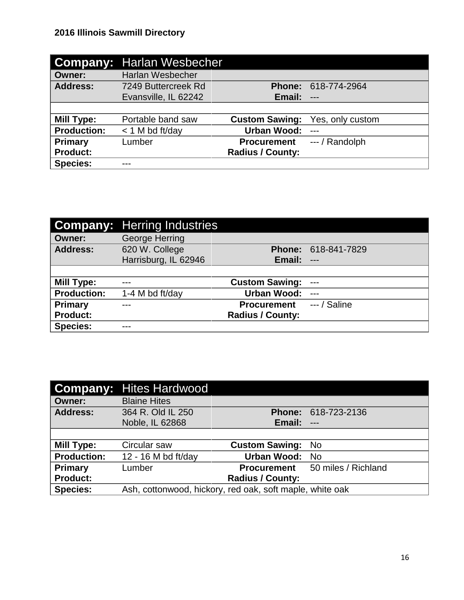| <b>Company:</b>    | Harlan Wesbecher     |                         |                  |
|--------------------|----------------------|-------------------------|------------------|
| <b>Owner:</b>      | Harlan Wesbecher     |                         |                  |
| <b>Address:</b>    | 7249 Buttercreek Rd  | <b>Phone:</b>           | 618-774-2964     |
|                    | Evansville, IL 62242 | Email:                  | $---$            |
|                    |                      |                         |                  |
| <b>Mill Type:</b>  | Portable band saw    | <b>Custom Sawing:</b>   | Yes, only custom |
| <b>Production:</b> | $<$ 1 M bd ft/day    | <b>Urban Wood:</b>      |                  |
| Primary            | Lumber               | <b>Procurement</b>      | --- / Randolph   |
| <b>Product:</b>    |                      | <b>Radius / County:</b> |                  |
| <b>Species:</b>    | ---                  |                         |                  |

|                    | <b>Company:</b> Herring Industries |                         |              |
|--------------------|------------------------------------|-------------------------|--------------|
| <b>Owner:</b>      | George Herring                     |                         |              |
| <b>Address:</b>    | 620 W. College                     | <b>Phone:</b>           | 618-841-7829 |
|                    | Harrisburg, IL 62946               | Email:                  | $---$        |
|                    |                                    |                         |              |
| <b>Mill Type:</b>  |                                    | <b>Custom Sawing:</b>   | $---$        |
| <b>Production:</b> | 1-4 M bd ft/day                    | <b>Urban Wood:</b>      | $---$        |
| Primary            |                                    | <b>Procurement</b>      | $-$ / Saline |
| <b>Product:</b>    |                                    | <b>Radius / County:</b> |              |
| <b>Species:</b>    |                                    |                         |              |

|                    | <b>Company: Hites Hardwood</b>                           |                         |                                        |
|--------------------|----------------------------------------------------------|-------------------------|----------------------------------------|
| <b>Owner:</b>      | <b>Blaine Hites</b>                                      |                         |                                        |
| <b>Address:</b>    | 364 R. Old IL 250                                        |                         | Phone: 618-723-2136                    |
|                    | Noble, IL 62868                                          | Email:                  | $---$                                  |
|                    |                                                          |                         |                                        |
| <b>Mill Type:</b>  | Circular saw                                             | <b>Custom Sawing:</b>   | No.                                    |
| <b>Production:</b> | 12 - 16 M bd ft/day                                      | <b>Urban Wood:</b>      | No                                     |
| Primary            | Lumber                                                   |                         | <b>Procurement</b> 50 miles / Richland |
| <b>Product:</b>    |                                                          | <b>Radius / County:</b> |                                        |
| <b>Species:</b>    | Ash, cottonwood, hickory, red oak, soft maple, white oak |                         |                                        |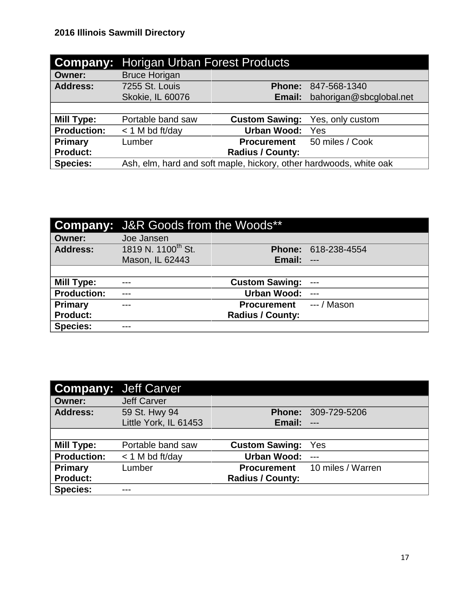| <b>Company:</b>    | <b>Horigan Urban Forest Products</b>                               |                         |                         |
|--------------------|--------------------------------------------------------------------|-------------------------|-------------------------|
| <b>Owner:</b>      | <b>Bruce Horigan</b>                                               |                         |                         |
| <b>Address:</b>    | 7255 St. Louis                                                     | <b>Phone:</b>           | 847-568-1340            |
|                    | <b>Skokie, IL 60076</b>                                            | Email:                  | bahorigan@sbcglobal.net |
|                    |                                                                    |                         |                         |
| <b>Mill Type:</b>  | Portable band saw                                                  | <b>Custom Sawing:</b>   | Yes, only custom        |
| <b>Production:</b> | $<$ 1 M bd ft/day                                                  | <b>Urban Wood:</b>      | Yes                     |
| Primary            | Lumber                                                             | <b>Procurement</b>      | 50 miles / Cook         |
| <b>Product:</b>    |                                                                    | <b>Radius / County:</b> |                         |
| <b>Species:</b>    | Ash, elm, hard and soft maple, hickory, other hardwoods, white oak |                         |                         |

|                    | <b>Company:</b> J&R Goods from the Woods** |                         |                            |
|--------------------|--------------------------------------------|-------------------------|----------------------------|
| <b>Owner:</b>      | Joe Jansen                                 |                         |                            |
| <b>Address:</b>    | 1819 N. 1100 <sup>th</sup> St.             |                         | <b>Phone: 618-238-4554</b> |
|                    | Mason, IL 62443                            | Email:                  | $---$                      |
|                    |                                            |                         |                            |
| <b>Mill Type:</b>  | ---                                        | <b>Custom Sawing:</b>   | $---$                      |
| <b>Production:</b> | ---                                        | <b>Urban Wood:</b>      | $---$                      |
|                    |                                            |                         |                            |
| Primary            | ---                                        | <b>Procurement</b>      | $--/$ Mason                |
| <b>Product:</b>    |                                            | <b>Radius / County:</b> |                            |

| <b>Company:</b> Jeff Carver |                       |                         |                   |
|-----------------------------|-----------------------|-------------------------|-------------------|
| <b>Owner:</b>               | <b>Jeff Carver</b>    |                         |                   |
| <b>Address:</b>             | 59 St. Hwy 94         | <b>Phone:</b>           | 309-729-5206      |
|                             | Little York, IL 61453 | Email:                  | $---$             |
|                             |                       |                         |                   |
| Mill Type:                  | Portable band saw     | <b>Custom Sawing:</b>   | Yes               |
| <b>Production:</b>          | $<$ 1 M bd ft/day     | <b>Urban Wood:</b>      | $---$             |
| Primary                     | Lumber                | <b>Procurement</b>      | 10 miles / Warren |
| <b>Product:</b>             |                       | <b>Radius / County:</b> |                   |
| <b>Species:</b>             |                       |                         |                   |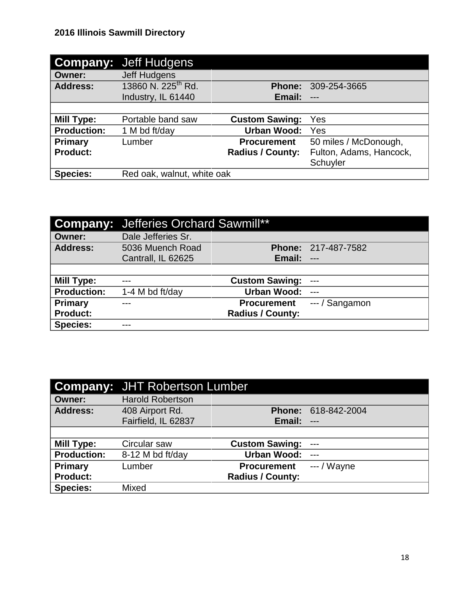|                    | <b>Company: Jeff Hudgens</b>   |                         |                         |
|--------------------|--------------------------------|-------------------------|-------------------------|
| <b>Owner:</b>      | Jeff Hudgens                   |                         |                         |
| <b>Address:</b>    | 13860 N. 225 <sup>th</sup> Rd. | <b>Phone:</b>           | 309-254-3665            |
|                    | Industry, IL 61440             | Email:                  | $---$                   |
|                    |                                |                         |                         |
| <b>Mill Type:</b>  | Portable band saw              | <b>Custom Sawing:</b>   | Yes                     |
| <b>Production:</b> | 1 M bd ft/day                  | <b>Urban Wood:</b>      | Yes                     |
| Primary            | Lumber                         | <b>Procurement</b>      | 50 miles / McDonough,   |
| <b>Product:</b>    |                                | <b>Radius / County:</b> | Fulton, Adams, Hancock, |
|                    |                                |                         | Schuyler                |
| <b>Species:</b>    | Red oak, walnut, white oak     |                         |                         |

|                    | <b>Company:</b> Jefferies Orchard Sawmill** |                         |                            |
|--------------------|---------------------------------------------|-------------------------|----------------------------|
| <b>Owner:</b>      | Dale Jefferies Sr.                          |                         |                            |
| <b>Address:</b>    | 5036 Muench Road                            |                         | <b>Phone: 217-487-7582</b> |
|                    | Cantrall, IL 62625                          | Email:                  | $---$                      |
|                    |                                             |                         |                            |
| Mill Type:         |                                             | <b>Custom Sawing:</b>   | $---$                      |
| <b>Production:</b> | 1-4 M bd ft/day                             | <b>Urban Wood:</b>      | $---$                      |
| Primary            |                                             | <b>Procurement</b>      | --- / Sangamon             |
| <b>Product:</b>    |                                             | <b>Radius / County:</b> |                            |
| <b>Species:</b>    |                                             |                         |                            |

|                    | <b>Company: JHT Robertson Lumber</b> |                         |                            |
|--------------------|--------------------------------------|-------------------------|----------------------------|
| <b>Owner:</b>      | <b>Harold Robertson</b>              |                         |                            |
| <b>Address:</b>    | 408 Airport Rd.                      |                         | <b>Phone: 618-842-2004</b> |
|                    | Fairfield, IL 62837                  | Email:                  | $\qquad \qquad -$          |
|                    |                                      |                         |                            |
| <b>Mill Type:</b>  | Circular saw                         | <b>Custom Sawing:</b>   | $---$                      |
| <b>Production:</b> | 8-12 M bd ft/day                     | <b>Urban Wood:</b>      | $---$                      |
| Primary            | Lumber                               | <b>Procurement</b>      | $--$ / Wayne               |
| <b>Product:</b>    |                                      | <b>Radius / County:</b> |                            |
| <b>Species:</b>    | Mixed                                |                         |                            |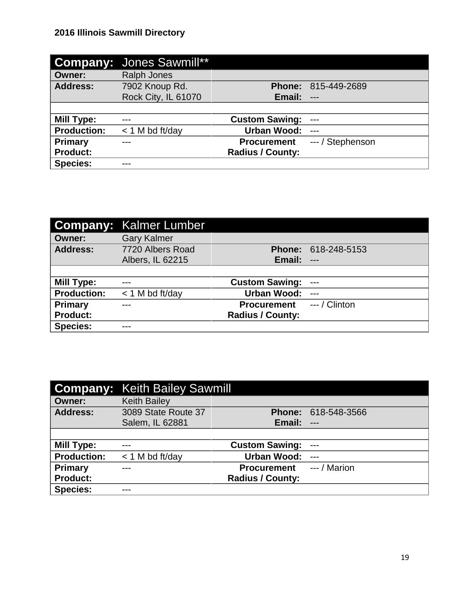|                    | <b>Company: Jones Sawmill**</b> |                         |                  |
|--------------------|---------------------------------|-------------------------|------------------|
| Owner:             | <b>Ralph Jones</b>              |                         |                  |
| <b>Address:</b>    | 7902 Knoup Rd.                  | <b>Phone:</b>           | 815-449-2689     |
|                    | Rock City, IL 61070             | Email:                  | $---$            |
|                    |                                 |                         |                  |
| <b>Mill Type:</b>  | $---$                           | <b>Custom Sawing:</b>   | $---$            |
| <b>Production:</b> | $<$ 1 M bd ft/day               | <b>Urban Wood:</b>      | $---$            |
| <b>Primary</b>     |                                 | <b>Procurement</b>      | --- / Stephenson |
| <b>Product:</b>    |                                 | <b>Radius / County:</b> |                  |
| <b>Species:</b>    |                                 |                         |                  |

|                    | <b>Company: Kalmer Lumber</b> |                         |                 |
|--------------------|-------------------------------|-------------------------|-----------------|
| <b>Owner:</b>      | <b>Gary Kalmer</b>            |                         |                 |
| <b>Address:</b>    | 7720 Albers Road              | <b>Phone:</b>           | 618-248-5153    |
|                    | Albers, IL 62215              | Email:                  | $---$           |
|                    |                               |                         |                 |
| Mill Type:         | ---                           | <b>Custom Sawing:</b>   | $---$           |
| <b>Production:</b> | $<$ 1 M bd ft/day             | <b>Urban Wood:</b>      | $---$           |
| <b>Primary</b>     |                               | <b>Procurement</b>      | $-$ - / Clinton |
| <b>Product:</b>    |                               | <b>Radius / County:</b> |                 |
| <b>Species:</b>    |                               |                         |                 |

|                    | <b>Company: Keith Bailey Sawmill</b> |                         |                     |
|--------------------|--------------------------------------|-------------------------|---------------------|
| <b>Owner:</b>      | <b>Keith Bailey</b>                  |                         |                     |
| <b>Address:</b>    | 3089 State Route 37                  |                         | Phone: 618-548-3566 |
|                    | Salem, IL 62881                      | Email:                  | $---$               |
|                    |                                      |                         |                     |
| Mill Type:         |                                      | <b>Custom Sawing:</b>   | $---$               |
| <b>Production:</b> | $<$ 1 M bd ft/day                    | <b>Urban Wood:</b>      | $---$               |
| Primary            | ---                                  | <b>Procurement</b>      | $--- /$ Marion      |
| <b>Product:</b>    |                                      | <b>Radius / County:</b> |                     |
| <b>Species:</b>    |                                      |                         |                     |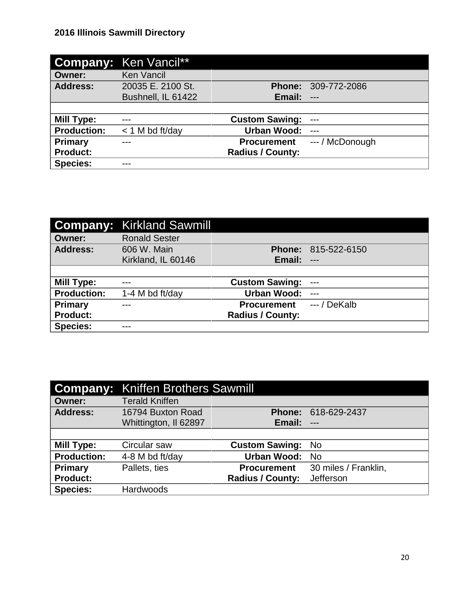|                    | <b>Company: Ken Vancil**</b> |                         |                 |
|--------------------|------------------------------|-------------------------|-----------------|
| <b>Owner:</b>      | <b>Ken Vancil</b>            |                         |                 |
| <b>Address:</b>    | 20035 E. 2100 St.            | <b>Phone:</b>           | 309-772-2086    |
|                    | Bushnell, IL 61422           | Email:                  | $---$           |
|                    |                              |                         |                 |
| <b>Mill Type:</b>  | $---$                        | <b>Custom Sawing:</b>   | $---$           |
| <b>Production:</b> | $<$ 1 M bd ft/day            | <b>Urban Wood:</b>      | $---$           |
| Primary            |                              | <b>Procurement</b>      | --- / McDonough |
| <b>Product:</b>    |                              | <b>Radius / County:</b> |                 |
| <b>Species:</b>    | ---                          |                         |                 |

|                    | <b>Company: Kirkland Sawmill</b> |                         |                     |
|--------------------|----------------------------------|-------------------------|---------------------|
| <b>Owner:</b>      | <b>Ronald Sester</b>             |                         |                     |
| <b>Address:</b>    | 606 W. Main                      |                         | Phone: 815-522-6150 |
|                    | Kirkland, IL 60146               | Email:                  | $---$               |
|                    |                                  |                         |                     |
| <b>Mill Type:</b>  |                                  | <b>Custom Sawing:</b>   | $---$               |
| <b>Production:</b> | 1-4 M bd ft/day                  | <b>Urban Wood:</b>      | $---$               |
| Primary            | ---                              | <b>Procurement</b>      | $-$ / DeKalb        |
| <b>Product:</b>    |                                  | <b>Radius / County:</b> |                     |
| <b>Species:</b>    | ---                              |                         |                     |

|                    | <b>Company: Kniffen Brothers Sawmill</b> |                         |                      |
|--------------------|------------------------------------------|-------------------------|----------------------|
| <b>Owner:</b>      | <b>Terald Kniffen</b>                    |                         |                      |
| <b>Address:</b>    | 16794 Buxton Road                        | <b>Phone:</b>           | 618-629-2437         |
|                    | Whittington, Il 62897                    | Email:                  | $---$                |
|                    |                                          |                         |                      |
| Mill Type:         | Circular saw                             | <b>Custom Sawing:</b>   | No.                  |
| <b>Production:</b> | 4-8 M bd ft/day                          | <b>Urban Wood:</b>      | <b>No</b>            |
| Primary            | Pallets, ties                            | <b>Procurement</b>      | 30 miles / Franklin, |
| <b>Product:</b>    |                                          | <b>Radius / County:</b> | Jefferson            |
| <b>Species:</b>    | Hardwoods                                |                         |                      |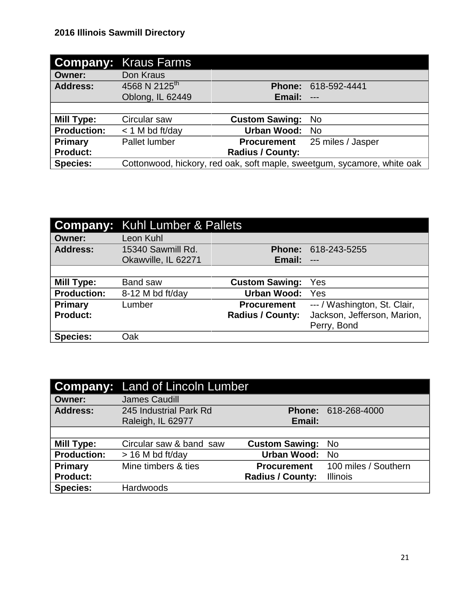|                    | <b>Company: Kraus Farms</b> |                         |                                                                         |
|--------------------|-----------------------------|-------------------------|-------------------------------------------------------------------------|
| <b>Owner:</b>      | Don Kraus                   |                         |                                                                         |
| <b>Address:</b>    | 4568 N 2125 <sup>th</sup>   | <b>Phone:</b>           | 618-592-4441                                                            |
|                    | Oblong, IL 62449            | Email:                  | $---$                                                                   |
|                    |                             |                         |                                                                         |
| <b>Mill Type:</b>  | Circular saw                | <b>Custom Sawing:</b>   | No.                                                                     |
| <b>Production:</b> | $<$ 1 M bd ft/day           | <b>Urban Wood:</b>      | - No                                                                    |
| Primary            | <b>Pallet lumber</b>        | <b>Procurement</b>      | 25 miles / Jasper                                                       |
| <b>Product:</b>    |                             | <b>Radius / County:</b> |                                                                         |
| <b>Species:</b>    |                             |                         | Cottonwood, hickory, red oak, soft maple, sweetgum, sycamore, white oak |

|                    | <b>Company:</b> Kuhl Lumber & Pallets |                         |                              |
|--------------------|---------------------------------------|-------------------------|------------------------------|
| <b>Owner:</b>      | Leon Kuhl                             |                         |                              |
| <b>Address:</b>    | 15340 Sawmill Rd.                     | <b>Phone:</b>           | 618-243-5255                 |
|                    | Okawville, IL 62271                   | Email:                  | $---$                        |
|                    |                                       |                         |                              |
| Mill Type:         | <b>Band saw</b>                       | <b>Custom Sawing:</b>   | Yes                          |
| <b>Production:</b> | 8-12 M bd ft/day                      | <b>Urban Wood:</b>      | Yes                          |
| <b>Primary</b>     | Lumber                                | <b>Procurement</b>      | --- / Washington, St. Clair, |
| <b>Product:</b>    |                                       | <b>Radius / County:</b> | Jackson, Jefferson, Marion,  |
|                    |                                       |                         | Perry, Bond                  |
| <b>Species:</b>    | Oak                                   |                         |                              |

|                    | <b>Company:</b> Land of Lincoln Lumber |                         |                      |
|--------------------|----------------------------------------|-------------------------|----------------------|
| <b>Owner:</b>      | <b>James Caudill</b>                   |                         |                      |
| <b>Address:</b>    | 245 Industrial Park Rd                 |                         | Phone: 618-268-4000  |
|                    | Raleigh, IL 62977                      | Email:                  |                      |
|                    |                                        |                         |                      |
| <b>Mill Type:</b>  | Circular saw & band saw                | <b>Custom Sawing:</b>   | <b>No</b>            |
| <b>Production:</b> | $>$ 16 M bd ft/day                     | <b>Urban Wood:</b>      | <b>No</b>            |
| <b>Primary</b>     | Mine timbers & ties                    | <b>Procurement</b>      | 100 miles / Southern |
| <b>Product:</b>    |                                        | <b>Radius / County:</b> | <b>Illinois</b>      |
| <b>Species:</b>    | <b>Hardwoods</b>                       |                         |                      |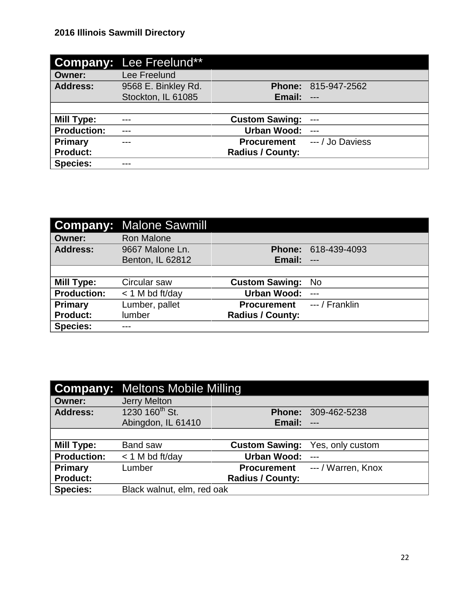|                    | <b>Company: Lee Freelund**</b> |                         |                  |
|--------------------|--------------------------------|-------------------------|------------------|
| <b>Owner:</b>      | Lee Freelund                   |                         |                  |
| <b>Address:</b>    | 9568 E. Binkley Rd.            | <b>Phone:</b>           | 815-947-2562     |
|                    | Stockton, IL 61085             | Email:                  | $---$            |
|                    |                                |                         |                  |
| <b>Mill Type:</b>  | $---$                          | <b>Custom Sawing:</b>   | $---$            |
| <b>Production:</b> | ---                            | <b>Urban Wood:</b>      | $---$            |
|                    |                                |                         |                  |
| <b>Primary</b>     |                                | <b>Procurement</b>      | --- / Jo Daviess |
| <b>Product:</b>    |                                | <b>Radius / County:</b> |                  |

|                    | <b>Company: Malone Sawmill</b> |                         |                |
|--------------------|--------------------------------|-------------------------|----------------|
| <b>Owner:</b>      | <b>Ron Malone</b>              |                         |                |
| <b>Address:</b>    | 9667 Malone Ln.                | <b>Phone:</b>           | 618-439-4093   |
|                    | Benton, IL 62812               | Email:                  | $---$          |
|                    |                                |                         |                |
| <b>Mill Type:</b>  | Circular saw                   | <b>Custom Sawing:</b>   | <b>No</b>      |
| <b>Production:</b> | $<$ 1 M bd ft/day              | <b>Urban Wood:</b>      | $---$          |
| Primary            | Lumber, pallet                 | <b>Procurement</b>      | --- / Franklin |
| <b>Product:</b>    | lumber                         | <b>Radius / County:</b> |                |
| <b>Species:</b>    | ---                            |                         |                |

|                    | <b>Company: Meltons Mobile Milling</b> |                         |                    |
|--------------------|----------------------------------------|-------------------------|--------------------|
| <b>Owner:</b>      | <b>Jerry Melton</b>                    |                         |                    |
| <b>Address:</b>    | 1230 160 <sup>th</sup> St.             | <b>Phone:</b>           | 309-462-5238       |
|                    | Abingdon, IL 61410                     | Email:                  | $---$              |
|                    |                                        |                         |                    |
| Mill Type:         | Band saw                               | <b>Custom Sawing:</b>   | Yes, only custom   |
| <b>Production:</b> | $<$ 1 M bd ft/day                      | <b>Urban Wood:</b>      | $-$                |
| Primary            | Lumber                                 | <b>Procurement</b>      | --- / Warren, Knox |
| <b>Product:</b>    |                                        | <b>Radius / County:</b> |                    |
| <b>Species:</b>    | Black walnut, elm, red oak             |                         |                    |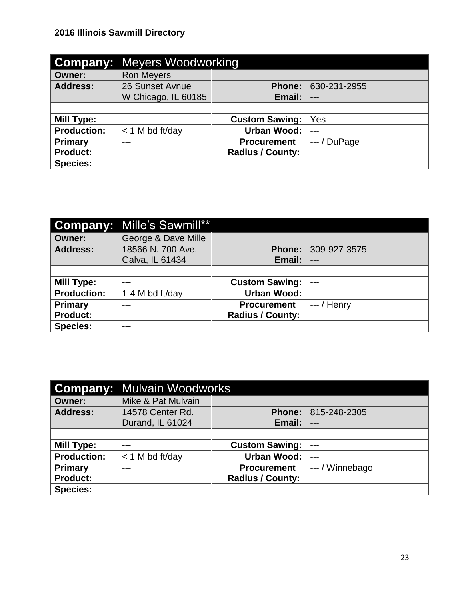|                    | <b>Company: Meyers Woodworking</b> |                         |               |
|--------------------|------------------------------------|-------------------------|---------------|
| <b>Owner:</b>      | <b>Ron Meyers</b>                  |                         |               |
| <b>Address:</b>    | 26 Sunset Avnue                    | <b>Phone:</b>           | 630-231-2955  |
|                    | W Chicago, IL 60185                | Email:                  | $---$         |
|                    |                                    |                         |               |
| Mill Type:         | ---                                | <b>Custom Sawing:</b>   | Yes           |
| <b>Production:</b> | $<$ 1 M bd ft/day                  | <b>Urban Wood:</b>      | $---$         |
| <b>Primary</b>     |                                    | <b>Procurement</b>      | $---/$ DuPage |
| <b>Product:</b>    |                                    | <b>Radius / County:</b> |               |
| <b>Species:</b>    | ---                                |                         |               |

|                    | <b>Company: Mille's Sawmill**</b> |                         |              |
|--------------------|-----------------------------------|-------------------------|--------------|
| <b>Owner:</b>      | George & Dave Mille               |                         |              |
| <b>Address:</b>    | 18566 N. 700 Ave.                 | <b>Phone:</b>           | 309-927-3575 |
|                    | Galva, IL 61434                   | Email:                  | $---$        |
|                    |                                   |                         |              |
| Mill Type:         |                                   | <b>Custom Sawing:</b>   | $---$        |
| <b>Production:</b> | 1-4 M bd ft/day                   | <b>Urban Wood:</b>      | $---$        |
| Primary            |                                   | <b>Procurement</b>      | $-$ / Henry  |
| <b>Product:</b>    |                                   | <b>Radius / County:</b> |              |
| <b>Species:</b>    | ---                               |                         |              |

|                    | <b>Company: Mulvain Woodworks</b> |                         |                     |
|--------------------|-----------------------------------|-------------------------|---------------------|
| <b>Owner:</b>      | Mike & Pat Mulvain                |                         |                     |
| <b>Address:</b>    | 14578 Center Rd.                  |                         | Phone: 815-248-2305 |
|                    | Durand, IL 61024                  | Email:                  | $---$               |
|                    |                                   |                         |                     |
| Mill Type:         |                                   | <b>Custom Sawing:</b>   | $---$               |
| <b>Production:</b> | $<$ 1 M bd ft/day                 | <b>Urban Wood:</b>      | $---$               |
| Primary            |                                   | <b>Procurement</b>      | --- / Winnebago     |
| <b>Product:</b>    |                                   | <b>Radius / County:</b> |                     |
| <b>Species:</b>    |                                   |                         |                     |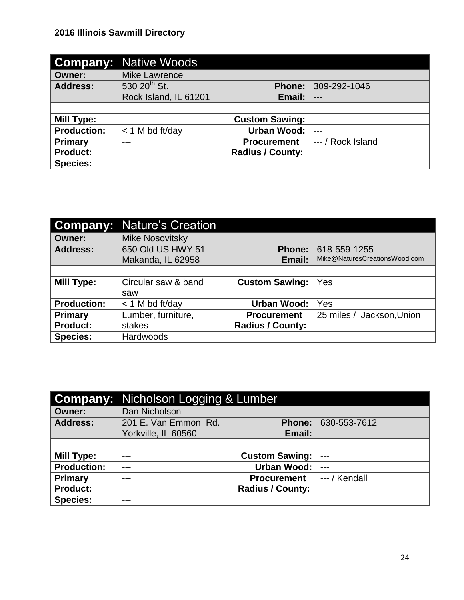|                    | <b>Company: Native Woods</b> |                         |                     |
|--------------------|------------------------------|-------------------------|---------------------|
| Owner:             | <b>Mike Lawrence</b>         |                         |                     |
| <b>Address:</b>    | $530\ 20^{th}$ St.           |                         | Phone: 309-292-1046 |
|                    | Rock Island, IL 61201        | Email:                  | $\overline{a}$      |
|                    |                              |                         |                     |
| <b>Mill Type:</b>  | ---                          | <b>Custom Sawing:</b>   | $---$               |
| <b>Production:</b> | $<$ 1 M bd ft/day            | <b>Urban Wood:</b>      |                     |
| <b>Primary</b>     |                              | <b>Procurement</b>      | --- / Rock Island   |
| <b>Product:</b>    |                              | <b>Radius / County:</b> |                     |
| <b>Species:</b>    |                              |                         |                     |

|                    | <b>Company: Nature's Creation</b> |                         |                               |
|--------------------|-----------------------------------|-------------------------|-------------------------------|
| <b>Owner:</b>      | <b>Mike Nosovitsky</b>            |                         |                               |
| <b>Address:</b>    | 650 Old US HWY 51                 | <b>Phone:</b>           | 618-559-1255                  |
|                    | Makanda, IL 62958                 | Email:                  | Mike@NaturesCreationsWood.com |
|                    |                                   |                         |                               |
| Mill Type:         | Circular saw & band               | <b>Custom Sawing:</b>   | Yes                           |
|                    | saw                               |                         |                               |
| <b>Production:</b> | $<$ 1 M bd ft/day                 | <b>Urban Wood:</b>      | Yes                           |
| <b>Primary</b>     | Lumber, furniture,                | <b>Procurement</b>      | 25 miles / Jackson, Union     |
| <b>Product:</b>    | stakes                            | <b>Radius / County:</b> |                               |
| <b>Species:</b>    | <b>Hardwoods</b>                  |                         |                               |

|                    | <b>Company:</b> Nicholson Logging & Lumber |                         |                     |
|--------------------|--------------------------------------------|-------------------------|---------------------|
| <b>Owner:</b>      | Dan Nicholson                              |                         |                     |
| <b>Address:</b>    | 201 E. Van Emmon Rd.                       |                         | Phone: 630-553-7612 |
|                    | Yorkville, IL 60560                        | Email:                  | $\qquad \qquad - -$ |
|                    |                                            |                         |                     |
| Mill Type:         | $---$                                      | <b>Custom Sawing:</b>   | $---$               |
| <b>Production:</b> | ---                                        | <b>Urban Wood:</b>      | $---$               |
| Primary            |                                            | <b>Procurement</b>      | $-$ / Kendall       |
| <b>Product:</b>    |                                            | <b>Radius / County:</b> |                     |
| <b>Species:</b>    |                                            |                         |                     |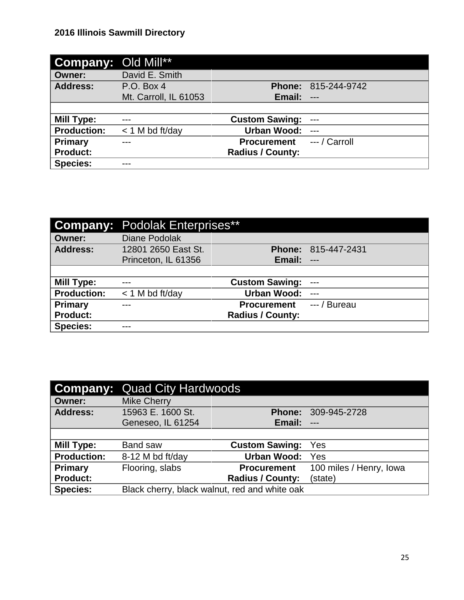| <b>Company: Old Mill**</b> |                       |                         |               |
|----------------------------|-----------------------|-------------------------|---------------|
| <b>Owner:</b>              | David E. Smith        |                         |               |
| <b>Address:</b>            | P.O. Box 4            | <b>Phone:</b>           | 815-244-9742  |
|                            | Mt. Carroll, IL 61053 | Email:                  | $---$         |
|                            |                       |                         |               |
| <b>Mill Type:</b>          | $---$                 | <b>Custom Sawing:</b>   | $---$         |
| <b>Production:</b>         | $<$ 1 M bd ft/day     | <b>Urban Wood:</b>      | $---$         |
| <b>Primary</b>             |                       | <b>Procurement</b>      | --- / Carroll |
| <b>Product:</b>            |                       | <b>Radius / County:</b> |               |
| <b>Species:</b>            |                       |                         |               |

|                    | <b>Company: Podolak Enterprises**</b> |                         |                     |
|--------------------|---------------------------------------|-------------------------|---------------------|
| <b>Owner:</b>      | <b>Diane Podolak</b>                  |                         |                     |
| <b>Address:</b>    | 12801 2650 East St.                   |                         | Phone: 815-447-2431 |
|                    | Princeton, IL 61356                   | Email:                  | $---$               |
|                    |                                       |                         |                     |
| <b>Mill Type:</b>  |                                       | <b>Custom Sawing:</b>   | $---$               |
| <b>Production:</b> | $<$ 1 M bd ft/day                     | <b>Urban Wood:</b>      | $---$               |
| Primary            | ---                                   | <b>Procurement</b>      | --- / Bureau        |
| <b>Product:</b>    |                                       | <b>Radius / County:</b> |                     |
| <b>Species:</b>    | ---                                   |                         |                     |

| Company:           | <b>Quad City Hardwoods</b>                    |                         |                         |
|--------------------|-----------------------------------------------|-------------------------|-------------------------|
| <b>Owner:</b>      | <b>Mike Cherry</b>                            |                         |                         |
| <b>Address:</b>    | 15963 E. 1600 St.                             | <b>Phone:</b>           | 309-945-2728            |
|                    | Geneseo, IL 61254                             | Email:                  | $---$                   |
|                    |                                               |                         |                         |
| Mill Type:         | Band saw                                      | <b>Custom Sawing:</b>   | Yes                     |
| <b>Production:</b> | 8-12 M bd ft/day                              | <b>Urban Wood:</b>      | Yes                     |
| Primary            | Flooring, slabs                               | <b>Procurement</b>      | 100 miles / Henry, Iowa |
| <b>Product:</b>    |                                               | <b>Radius / County:</b> | (state)                 |
| <b>Species:</b>    | Black cherry, black walnut, red and white oak |                         |                         |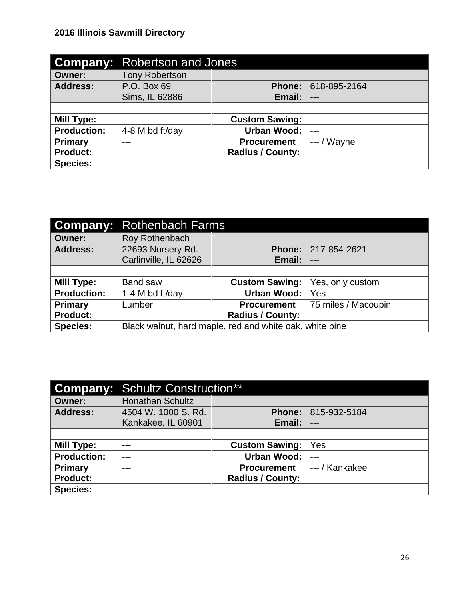| <b>Company:</b>    | Robertson and Jones   |                         |              |
|--------------------|-----------------------|-------------------------|--------------|
| <b>Owner:</b>      | <b>Tony Robertson</b> |                         |              |
| <b>Address:</b>    | P.O. Box 69           | <b>Phone:</b>           | 618-895-2164 |
|                    | Sims, IL 62886        | Email:                  | $---$        |
|                    |                       |                         |              |
| <b>Mill Type:</b>  | ---                   | <b>Custom Sawing:</b>   | $---$        |
| <b>Production:</b> | 4-8 M bd ft/day       | <b>Urban Wood:</b>      | $---$        |
| <b>Primary</b>     |                       | <b>Procurement</b>      | $-$ / Wayne  |
| <b>Product:</b>    |                       | <b>Radius / County:</b> |              |
| <b>Species:</b>    |                       |                         |              |

|                    | <b>Company: Rothenbach Farms</b>                        |                         |                                        |
|--------------------|---------------------------------------------------------|-------------------------|----------------------------------------|
| <b>Owner:</b>      | Roy Rothenbach                                          |                         |                                        |
| <b>Address:</b>    | 22693 Nursery Rd.                                       |                         | Phone: 217-854-2621                    |
|                    | Carlinville, IL 62626                                   | Email:                  | <b>TELE</b>                            |
|                    |                                                         |                         |                                        |
| Mill Type:         | <b>Band saw</b>                                         | <b>Custom Sawing:</b>   | Yes, only custom                       |
| <b>Production:</b> | 1-4 M bd ft/day                                         | <b>Urban Wood: Yes</b>  |                                        |
| Primary            | Lumber                                                  |                         | <b>Procurement</b> 75 miles / Macoupin |
| <b>Product:</b>    |                                                         | <b>Radius / County:</b> |                                        |
| <b>Species:</b>    | Black walnut, hard maple, red and white oak, white pine |                         |                                        |

|                    | <b>Company: Schultz Construction**</b> |                         |                     |
|--------------------|----------------------------------------|-------------------------|---------------------|
| Owner:             | <b>Honathan Schultz</b>                |                         |                     |
| <b>Address:</b>    | 4504 W. 1000 S. Rd.                    |                         | Phone: 815-932-5184 |
|                    | Kankakee, IL 60901                     | Email:                  | $---$               |
|                    |                                        |                         |                     |
| Mill Type:         |                                        | <b>Custom Sawing:</b>   | Yes                 |
| <b>Production:</b> | ---                                    | <b>Urban Wood:</b>      | $---$               |
| Primary            |                                        | <b>Procurement</b>      | --- / Kankakee      |
| <b>Product:</b>    |                                        | <b>Radius / County:</b> |                     |
| <b>Species:</b>    |                                        |                         |                     |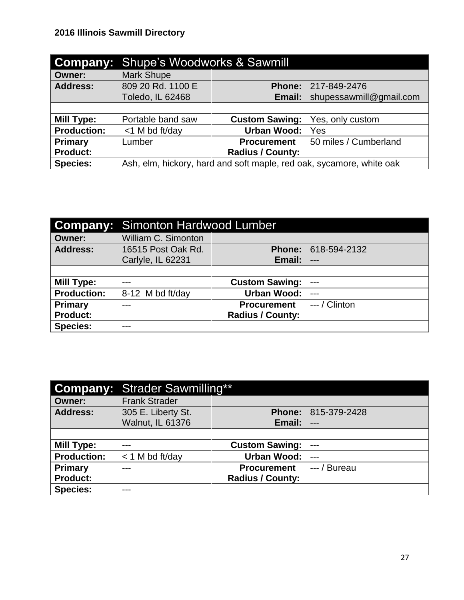|                    | <b>Company:</b> Shupe's Woodworks & Sawmill                          |                         |                            |
|--------------------|----------------------------------------------------------------------|-------------------------|----------------------------|
| <b>Owner:</b>      | <b>Mark Shupe</b>                                                    |                         |                            |
| <b>Address:</b>    | 809 20 Rd. 1100 E                                                    |                         | <b>Phone: 217-849-2476</b> |
|                    | Toledo, IL 62468                                                     | Email:                  | shupessawmill@gmail.com    |
|                    |                                                                      |                         |                            |
| <b>Mill Type:</b>  | Portable band saw                                                    | <b>Custom Sawing:</b>   | Yes, only custom           |
| <b>Production:</b> | $<$ 1 M bd ft/day                                                    | <b>Urban Wood:</b>      | Yes                        |
| Primary            | Lumber                                                               | <b>Procurement</b>      | 50 miles / Cumberland      |
| <b>Product:</b>    |                                                                      | <b>Radius / County:</b> |                            |
| <b>Species:</b>    | Ash, elm, hickory, hard and soft maple, red oak, sycamore, white oak |                         |                            |

|                    | <b>Company: Simonton Hardwood Lumber</b> |                         |                     |
|--------------------|------------------------------------------|-------------------------|---------------------|
| <b>Owner:</b>      | William C. Simonton                      |                         |                     |
| <b>Address:</b>    | 16515 Post Oak Rd.                       |                         | Phone: 618-594-2132 |
|                    | Carlyle, IL 62231                        | Email:                  | $---$               |
|                    |                                          |                         |                     |
| <b>Mill Type:</b>  |                                          | <b>Custom Sawing:</b>   | $---$               |
| <b>Production:</b> | 8-12 M bd ft/day                         | <b>Urban Wood:</b>      | $---$               |
| Primary            |                                          | <b>Procurement</b>      | $--/$ Clinton       |
| <b>Product:</b>    |                                          | <b>Radius / County:</b> |                     |
| <b>Species:</b>    |                                          |                         |                     |

|                    | <b>Company: Strader Sawmilling**</b> |                         |                            |
|--------------------|--------------------------------------|-------------------------|----------------------------|
| <b>Owner:</b>      | <b>Frank Strader</b>                 |                         |                            |
| <b>Address:</b>    | 305 E. Liberty St.                   |                         | <b>Phone: 815-379-2428</b> |
|                    | <b>Walnut, IL 61376</b>              | Email:                  | $---$                      |
|                    |                                      |                         |                            |
| <b>Mill Type:</b>  |                                      | <b>Custom Sawing:</b>   | $---$                      |
| <b>Production:</b> | $<$ 1 M bd ft/day                    | Urban Wood:             | $---$                      |
| <b>Primary</b>     | ---                                  | <b>Procurement</b>      | --- / Bureau               |
| <b>Product:</b>    |                                      | <b>Radius / County:</b> |                            |
| <b>Species:</b>    | ---                                  |                         |                            |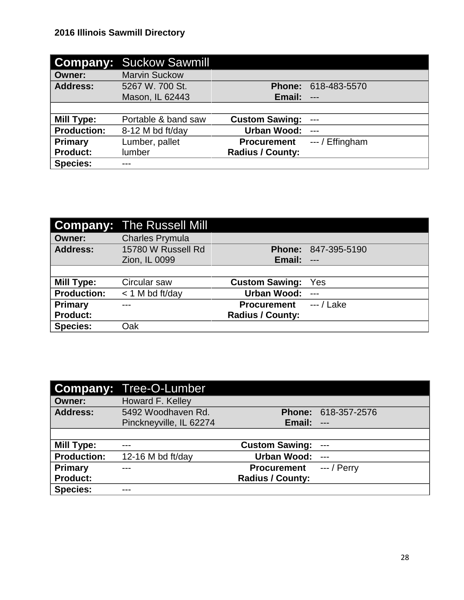|                    | <b>Company: Suckow Sawmill</b> |                         |                 |
|--------------------|--------------------------------|-------------------------|-----------------|
| <b>Owner:</b>      | <b>Marvin Suckow</b>           |                         |                 |
| <b>Address:</b>    | 5267 W. 700 St.                | <b>Phone:</b>           | 618-483-5570    |
|                    | Mason, IL 62443                | Email:                  | $---$           |
|                    |                                |                         |                 |
| <b>Mill Type:</b>  | Portable & band saw            | <b>Custom Sawing:</b>   | $---$           |
| <b>Production:</b> | 8-12 M bd ft/day               | <b>Urban Wood:</b>      | $---$           |
| Primary            | Lumber, pallet                 | <b>Procurement</b>      | $-$ / Effingham |
| <b>Product:</b>    | <b>lumber</b>                  | <b>Radius / County:</b> |                 |
| <b>Species:</b>    | ---                            |                         |                 |

|                    | <b>Company: The Russell Mill</b> |                         |                     |
|--------------------|----------------------------------|-------------------------|---------------------|
| <b>Owner:</b>      | <b>Charles Prymula</b>           |                         |                     |
| <b>Address:</b>    | 15780 W Russell Rd               |                         | Phone: 847-395-5190 |
|                    | Zion, IL 0099                    | Email:                  | $---$               |
|                    |                                  |                         |                     |
| Mill Type:         | Circular saw                     | <b>Custom Sawing:</b>   | Yes                 |
| <b>Production:</b> | $<$ 1 M bd ft/day                | Urban Wood:             | $---$               |
| <b>Primary</b>     |                                  | <b>Procurement</b>      | $-$ / Lake          |
| <b>Product:</b>    |                                  | <b>Radius / County:</b> |                     |
| <b>Species:</b>    | Oak                              |                         |                     |

|                    | <b>Company: Tree-O-Lumber</b> |                         |                     |
|--------------------|-------------------------------|-------------------------|---------------------|
| <b>Owner:</b>      | Howard F. Kelley              |                         |                     |
| <b>Address:</b>    | 5492 Woodhaven Rd.            |                         | Phone: 618-357-2576 |
|                    | Pinckneyville, IL 62274       | Email:                  | $---$               |
|                    |                               |                         |                     |
| <b>Mill Type:</b>  |                               | <b>Custom Sawing:</b>   | $---$               |
| <b>Production:</b> | 12-16 M bd ft/day             | <b>Urban Wood:</b>      | $---$               |
| <b>Primary</b>     |                               | <b>Procurement</b>      | $-$ / Perry         |
| <b>Product:</b>    |                               | <b>Radius / County:</b> |                     |
| <b>Species:</b>    |                               |                         |                     |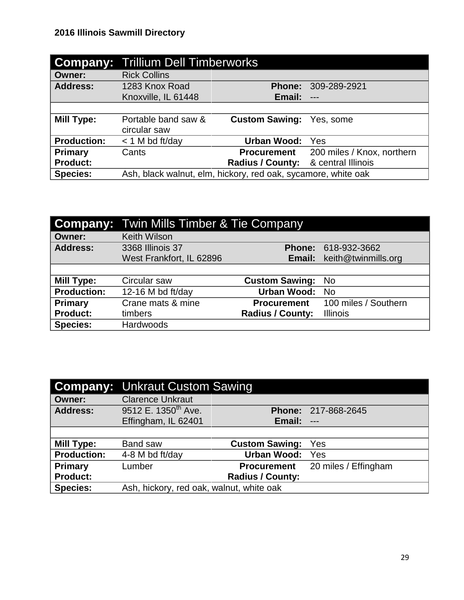|                    | <b>Company: Trillium Dell Timberworks</b>                     |                         |                            |  |
|--------------------|---------------------------------------------------------------|-------------------------|----------------------------|--|
| <b>Owner:</b>      | <b>Rick Collins</b>                                           |                         |                            |  |
| <b>Address:</b>    | 1283 Knox Road                                                | <b>Phone:</b>           | 309-289-2921               |  |
|                    | Knoxville, IL 61448                                           | Email:                  | $---$                      |  |
|                    |                                                               |                         |                            |  |
| <b>Mill Type:</b>  | Portable band saw &                                           | <b>Custom Sawing:</b>   | Yes, some                  |  |
|                    | circular saw                                                  |                         |                            |  |
| <b>Production:</b> | $<$ 1 M bd ft/day                                             | <b>Urban Wood:</b>      | Yes                        |  |
| Primary            | Cants                                                         | <b>Procurement</b>      | 200 miles / Knox, northern |  |
| <b>Product:</b>    |                                                               | <b>Radius / County:</b> | & central Illinois         |  |
| <b>Species:</b>    | Ash, black walnut, elm, hickory, red oak, sycamore, white oak |                         |                            |  |

|                    | <b>Company: Twin Mills Timber &amp; Tie Company</b> |                         |                                   |
|--------------------|-----------------------------------------------------|-------------------------|-----------------------------------|
| <b>Owner:</b>      | <b>Keith Wilson</b>                                 |                         |                                   |
| <b>Address:</b>    | 3368 Illinois 37                                    |                         | Phone: 618-932-3662               |
|                    | West Frankfort, IL 62896                            |                         | <b>Email:</b> keith@twinmills.org |
|                    |                                                     |                         |                                   |
| <b>Mill Type:</b>  | Circular saw                                        | <b>Custom Sawing:</b>   | <b>No</b>                         |
| <b>Production:</b> | 12-16 M bd ft/day                                   | <b>Urban Wood:</b>      | - No                              |
| Primary            | Crane mats & mine                                   | <b>Procurement</b>      | 100 miles / Southern              |
| <b>Product:</b>    | timbers                                             | <b>Radius / County:</b> | <b>Illinois</b>                   |
| <b>Species:</b>    | Hardwoods                                           |                         |                                   |

|                    | <b>Company:</b> Unkraut Custom Sawing    |                         |                      |
|--------------------|------------------------------------------|-------------------------|----------------------|
| <b>Owner:</b>      | <b>Clarence Unkraut</b>                  |                         |                      |
| <b>Address:</b>    | 9512 E. 1350 <sup>th</sup> Ave.          |                         | Phone: 217-868-2645  |
|                    | Effingham, IL 62401                      | Email:                  | $---$                |
|                    |                                          |                         |                      |
| <b>Mill Type:</b>  | Band saw                                 | <b>Custom Sawing:</b>   | Yes                  |
| <b>Production:</b> | 4-8 M bd ft/day                          | <b>Urban Wood:</b>      | Yes                  |
| <b>Primary</b>     | Lumber                                   | <b>Procurement</b>      | 20 miles / Effingham |
| <b>Product:</b>    |                                          | <b>Radius / County:</b> |                      |
| <b>Species:</b>    | Ash, hickory, red oak, walnut, white oak |                         |                      |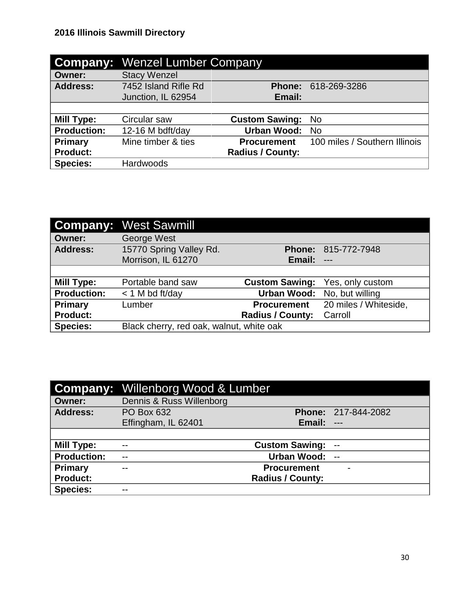|                    | <b>Company: Wenzel Lumber Company</b> |                         |                               |
|--------------------|---------------------------------------|-------------------------|-------------------------------|
| <b>Owner:</b>      | <b>Stacy Wenzel</b>                   |                         |                               |
| <b>Address:</b>    | 7452 Island Rifle Rd                  | <b>Phone:</b>           | 618-269-3286                  |
|                    | Junction, IL 62954                    | Email:                  |                               |
|                    |                                       |                         |                               |
| <b>Mill Type:</b>  | Circular saw                          | <b>Custom Sawing:</b>   | No.                           |
| <b>Production:</b> | 12-16 M bdft/day                      | <b>Urban Wood:</b>      | No.                           |
| Primary            | Mine timber & ties                    | <b>Procurement</b>      | 100 miles / Southern Illinois |
| <b>Product:</b>    |                                       | <b>Radius / County:</b> |                               |
| <b>Species:</b>    | <b>Hardwoods</b>                      |                         |                               |

|                    | <b>Company: West Sawmill</b>             |                         |                             |
|--------------------|------------------------------------------|-------------------------|-----------------------------|
| <b>Owner:</b>      | George West                              |                         |                             |
| <b>Address:</b>    | 15770 Spring Valley Rd.                  |                         | <b>Phone: 815-772-7948</b>  |
|                    | Morrison, IL 61270                       | Email:                  | $---$                       |
|                    |                                          |                         |                             |
| <b>Mill Type:</b>  | Portable band saw                        | <b>Custom Sawing:</b>   | Yes, only custom            |
| <b>Production:</b> | $<$ 1 M bd ft/day                        |                         | Urban Wood: No, but willing |
| Primary            | Lumber                                   | <b>Procurement</b>      | 20 miles / Whiteside,       |
| <b>Product:</b>    |                                          | <b>Radius / County:</b> | Carroll                     |
| <b>Species:</b>    | Black cherry, red oak, walnut, white oak |                         |                             |

|                    | <b>Company:</b> Willenborg Wood & Lumber |                         |                            |
|--------------------|------------------------------------------|-------------------------|----------------------------|
| <b>Owner:</b>      | Dennis & Russ Willenborg                 |                         |                            |
| <b>Address:</b>    | <b>PO Box 632</b>                        |                         | <b>Phone: 217-844-2082</b> |
|                    | Effingham, IL 62401                      | <b>Email: ---</b>       |                            |
|                    |                                          |                         |                            |
| <b>Mill Type:</b>  | --                                       | <b>Custom Sawing:</b>   | --                         |
| <b>Production:</b> | $- -$                                    | Urban Wood:             | $\overline{a}$             |
| Primary            | $- -$                                    | <b>Procurement</b>      |                            |
| <b>Product:</b>    |                                          | <b>Radius / County:</b> |                            |
| <b>Species:</b>    | --                                       |                         |                            |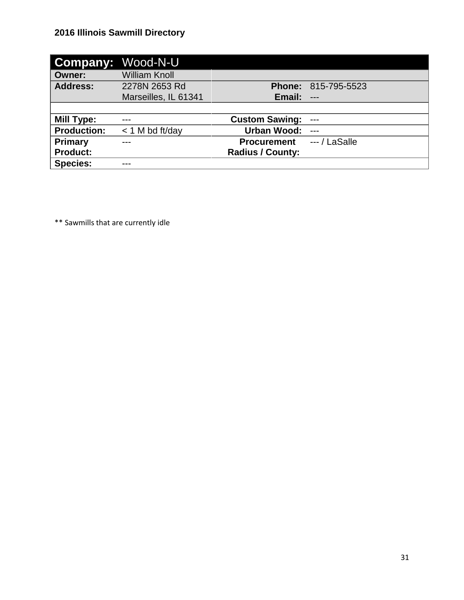|                    | <b>Company: Wood-N-U</b> |                         |                            |
|--------------------|--------------------------|-------------------------|----------------------------|
| <b>Owner:</b>      | <b>William Knoll</b>     |                         |                            |
| <b>Address:</b>    | 2278N 2653 Rd            |                         | <b>Phone: 815-795-5523</b> |
|                    | Marseilles, IL 61341     | Email:                  | $---$                      |
|                    |                          |                         |                            |
| <b>Mill Type:</b>  |                          | <b>Custom Sawing:</b>   | $---$                      |
| <b>Production:</b> | $<$ 1 M bd ft/day        | <b>Urban Wood:</b>      | $---$                      |
| <b>Primary</b>     |                          | <b>Procurement</b>      | $-$ / LaSalle              |
| <b>Product:</b>    |                          | <b>Radius / County:</b> |                            |
| <b>Species:</b>    | ---                      |                         |                            |

\*\* Sawmills that are currently idle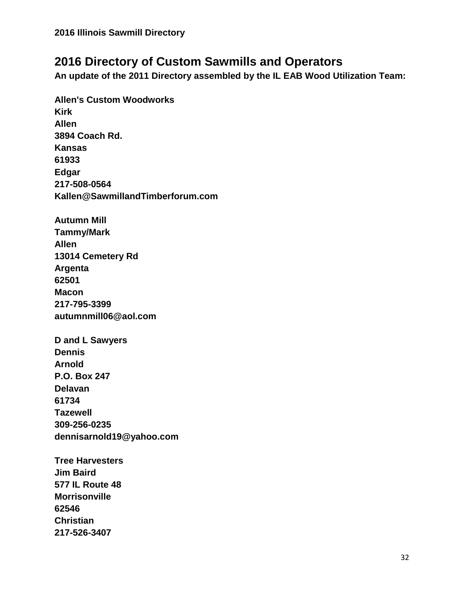# **2016 Directory of Custom Sawmills and Operators**

**An update of the 2011 Directory assembled by the IL EAB Wood Utilization Team:**

**Allen's Custom Woodworks Kirk Allen 3894 Coach Rd. Kansas 61933 Edgar 217-508-0564 Kallen@SawmillandTimberforum.com Autumn Mill Tammy/Mark Allen 13014 Cemetery Rd Argenta 62501 Macon 217-795-3399 autumnmill06@aol.com D and L Sawyers Dennis Arnold P.O. Box 247 Delavan 61734 Tazewell 309-256-0235 dennisarnold19@yahoo.com Tree Harvesters Jim Baird 577 IL Route 48 Morrisonville 62546 Christian 217-526-3407**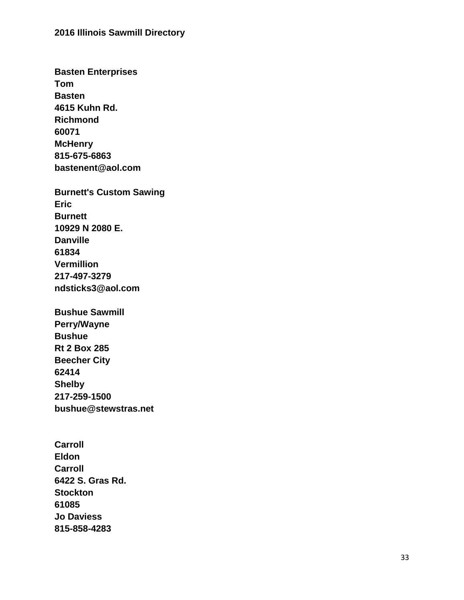**Basten Enterprises Tom Basten 4615 Kuhn Rd. Richmond 60071 McHenry 815 -675 -6863 bastenent@aol.com**

**Burnett's Custom Sawing Eric Burnett 10929 N 2080 E. Danville 61834 Vermillion 217 -497 -3279 ndsticks3@aol.com**

**Bushue Sawmill Perry/Wayne Bushue Rt 2 Box 285 Beecher City 62414 Shelby 217 -259 -1500 bushue@stewstras.net**

**Carroll Eldon Carroll 6422 S. Gras Rd. Stockton 61085 Jo Daviess 815 -858 -4283**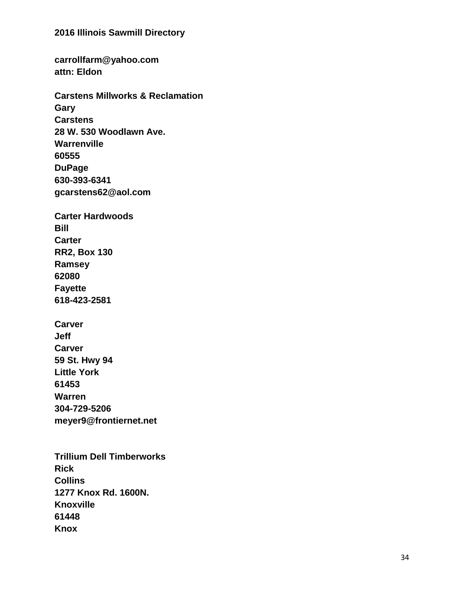**carrollfarm@yahoo.com attn: Eldon Carstens Millworks & Reclamation Gary Carstens 28 W. 530 Woodlawn Ave. Warrenville 60555 DuPage 630 -393 -6341 gcarstens62@aol.com Carter Hardwoods Bill Carter RR2, Box 130 Ramsey 62080 Fayette 618 -423 -2581 Carver**

**Jeff Carver 59 St. Hwy 94 Little York 61453 Warren 304 -729 -5206 meyer9@frontiernet.net**

**Trillium Dell Timberworks Rick Collins 1277 Knox Rd. 1600N. Knoxville 61448 Knox**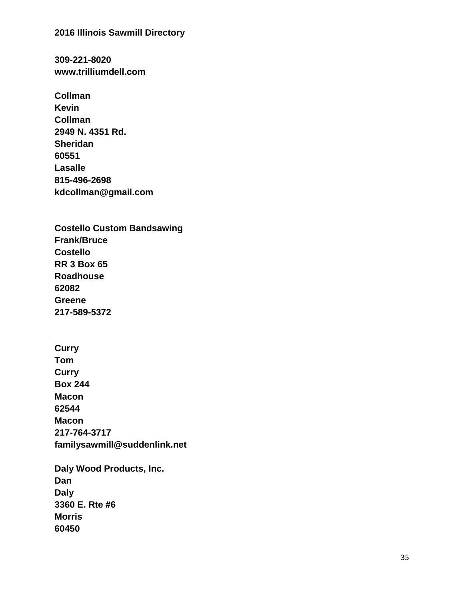**309 -221 -8020 www.trilliumdell.com**

**Collman Kevin Collman 2949 N. 4351 Rd. Sheridan 60551 Lasalle 815 -496 -2698 kdcollman@gmail.com**

**Costello Custom Bandsawing Frank/Bruce Costello RR 3 Box 65 Roadhouse 62082 Greene 217 -589 -5372**

**Curry Tom Curry Box 244 Macon 62544 Macon 217 -764 -3717 familysawmill@suddenlink.net**

**Daly Wood Products, Inc. Dan Daly 3360 E. Rte #6 Morris 60450**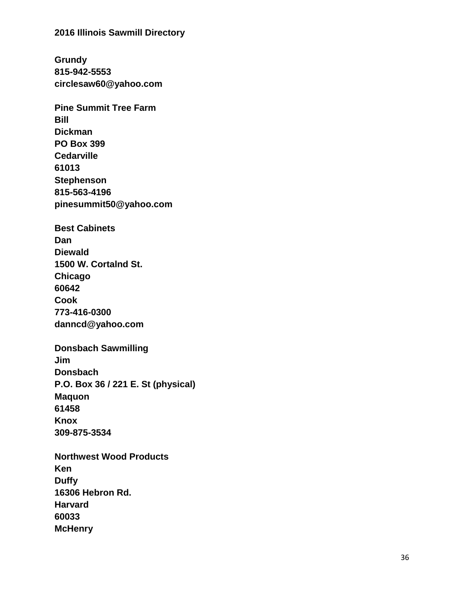**Grundy 815 -942 -5553 circlesaw60@yahoo.com**

**Pine Summit Tree Farm Bill Dickman PO Box 399 Cedarville 61013 Stephenson 815 -563 -4196 pinesummit50@yahoo.com**

**Best Cabinets Dan Diewald 1500 W. Cortalnd St. Chicago 60642 Cook 773 -416 -0300 danncd@yahoo.com**

**Donsbach Sawmilling Jim Donsbach P.O. Box 36 / 221 E. St (physical) Maquon 61458 Knox 309 -875 -3534**

**Northwest Wood Products Ken Duffy 16306 Hebron Rd. Harvard 60033 McHenry**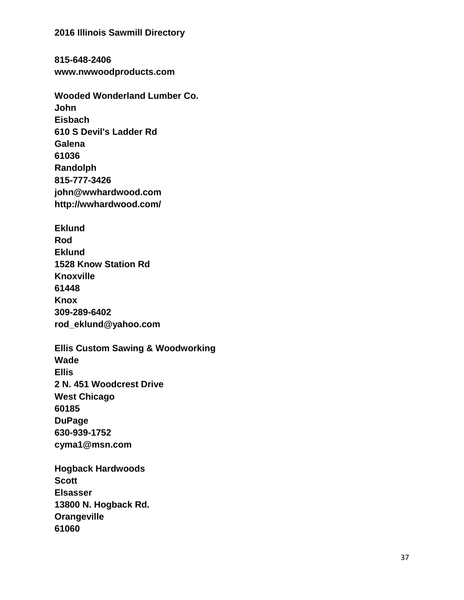**815 -648 -2406 www.nwwoodproducts.com**

**Wooded Wonderland Lumber Co. John Eisbach 610 S Devil's Ladder Rd Galena 61036 Randolph 815 -777 -3426 john@wwhardwood.com http://wwhardwood.com/**

**Eklund Rod Eklund 1528 Know Station Rd Knoxville 61448 Knox 309 -289 -6402 rod\_eklund@yahoo.com**

**Ellis Custom Sawing & Woodworking Wade Ellis 2 N. 451 Woodcrest Drive West Chicago 60185 DuPage 630 -939 -1752 cyma1@msn.com**

**Hogback Hardwoods Scott Elsasser 13800 N. Hogback Rd. Orangeville 61060**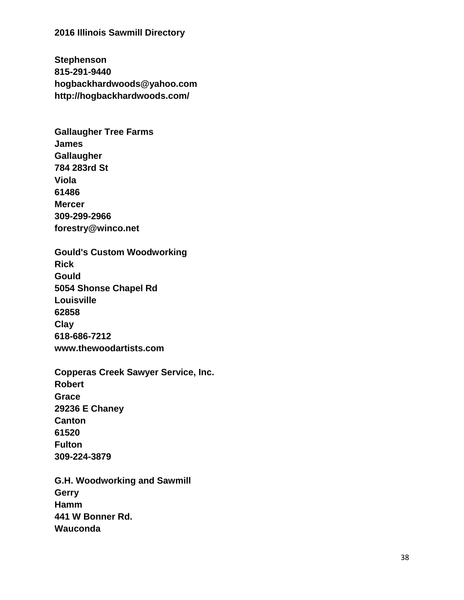**Stephenson 815 -291 -9440 hogbackhardwoods@yahoo.com http://hogbackhardwoods.com/**

**Gallaugher Tree Farms James Gallaugher 784 283rd St Viola 61486 Mercer 309 -299 -2966 forestry@winco.net**

**Gould's Custom Woodworking Rick Gould 5054 Shonse Chapel Rd Louisville 62858 Clay 618 -686 -7212 www.thewoodartists.com**

**Copperas Creek Sawyer Service, Inc. Robert Grace 29236 E Chaney Canton 61520 Fulton 309 -224 -3879**

**G.H. Woodworking and Sawmill Gerry Hamm 441 W Bonner Rd. Wauconda**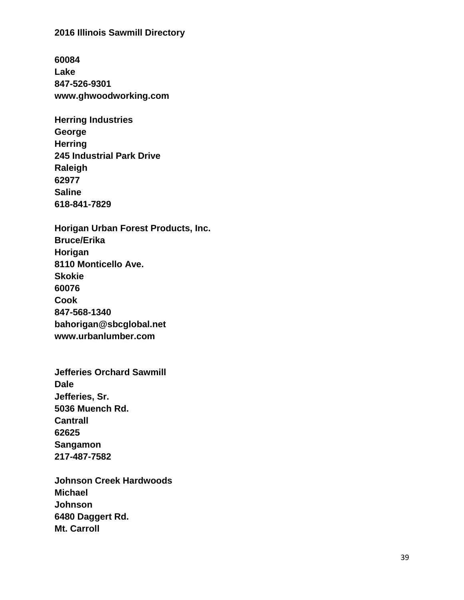**60084 Lake 847 -526 -9301 www.ghwoodworking.com**

| <b>Herring Industries</b>        |
|----------------------------------|
| George                           |
| <b>Herring</b>                   |
| <b>245 Industrial Park Drive</b> |
| Raleigh                          |
| 62977                            |
| Saline                           |
| 618-841-7829                     |

**Horigan Urban Forest Products, Inc. Bruce/Erika Horigan 8110 Monticello Ave. Skokie 60076 Cook 847 -568 -1340 bahorigan@sbcglobal.net www.urbanlumber.com**

**Jefferies Orchard Sawmill Dale Jefferies, Sr. 5036 Muench Rd. Cantrall 62625 Sangamon 217 -487 -7582**

**Johnson Creek Hardwoods Michael Johnson 6480 Daggert Rd. Mt. Carroll**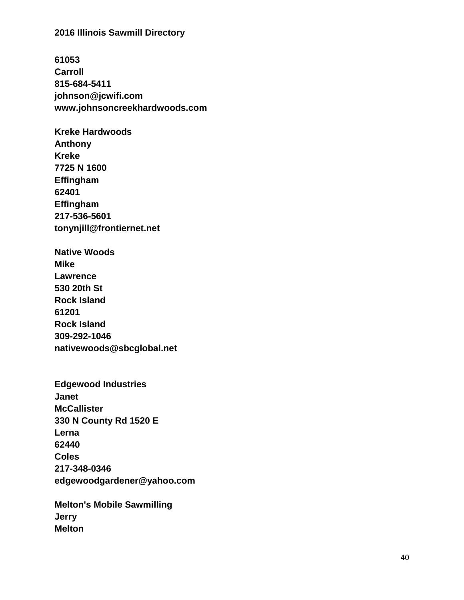**61053 Carroll 815 -684 -5411 johnson@jcwifi.com www.johnsoncreekhardwoods.com**

**Kreke Hardwoods Anthony Kreke 7725 N 1600 Effingham 62401 Effingham 217 -536 -5601 tonynjill@frontiernet.net**

**Native Woods Mike Lawrence 530 20th St Rock Island 61201 Rock Island 309 -292 -1046 nativewoods@sbcglobal.net**

**Edgewood Industries Janet McCallister 330 N County Rd 1520 E Lerna 62440 Coles 217 -348 -0346 edgewoodgardener@yahoo.com**

**Melton's Mobile Sawmilling Jerry Melton**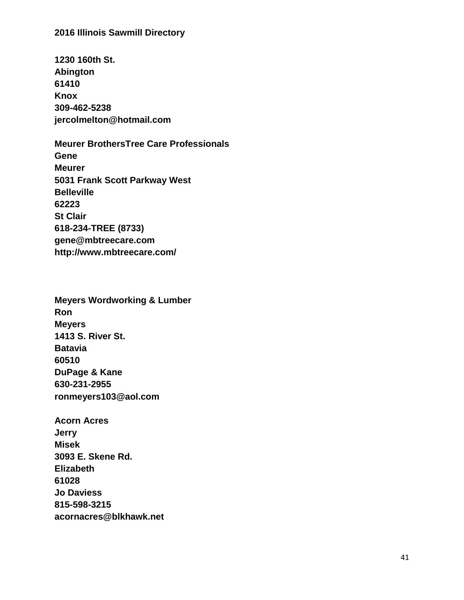**1230 160th St. Abington 61410 Knox 309-462-5238 jercolmelton@hotmail.com**

**Meurer BrothersTree Care Professionals Gene Meurer 5031 Frank Scott Parkway West Belleville 62223 St Clair 618-234-TREE (8733) gene@mbtreecare.com http://www.mbtreecare.com/**

**Meyers Wordworking & Lumber Ron Meyers 1413 S. River St. Batavia 60510 DuPage & Kane 630-231-2955 ronmeyers103@aol.com**

**Acorn Acres Jerry Misek 3093 E. Skene Rd. Elizabeth 61028 Jo Daviess 815-598-3215 acornacres@blkhawk.net**